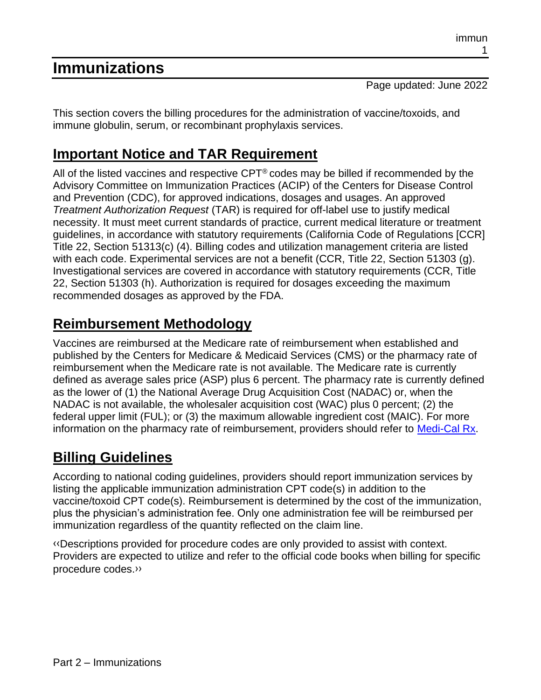# **Immunizations**

Page updated: June 2022

This section covers the billing procedures for the administration of vaccine/toxoids, and immune globulin, serum, or recombinant prophylaxis services.

# **Important Notice and TAR Requirement**

All of the listed vaccines and respective  $CPT^{\circledast}$  codes may be billed if recommended by the Advisory Committee on Immunization Practices (ACIP) of the Centers for Disease Control and Prevention (CDC), for approved indications, dosages and usages. An approved *Treatment Authorization Request* (TAR) is required for off-label use to justify medical necessity. It must meet current standards of practice, current medical literature or treatment guidelines, in accordance with statutory requirements (California Code of Regulations [CCR] Title 22, Section 51313(c) (4). Billing codes and utilization management criteria are listed with each code. Experimental services are not a benefit (CCR, Title 22, Section 51303 (g). Investigational services are covered in accordance with statutory requirements (CCR, Title 22, Section 51303 (h). Authorization is required for dosages exceeding the maximum recommended dosages as approved by the FDA.

# **Reimbursement Methodology**

Vaccines are reimbursed at the Medicare rate of reimbursement when established and published by the Centers for Medicare & Medicaid Services (CMS) or the pharmacy rate of reimbursement when the Medicare rate is not available. The Medicare rate is currently defined as average sales price (ASP) plus 6 percent. The pharmacy rate is currently defined as the lower of (1) the National Average Drug Acquisition Cost (NADAC) or, when the NADAC is not available, the wholesaler acquisition cost (WAC) plus 0 percent; (2) the federal upper limit (FUL); or (3) the maximum allowable ingredient cost (MAIC). For more information on the pharmacy rate of reimbursement, providers should refer to [Medi-Cal Rx.](https://medi-calrx.dhcs.ca.gov/)

# **Billing Guidelines**

According to national coding guidelines, providers should report immunization services by listing the applicable immunization administration CPT code(s) in addition to the vaccine/toxoid CPT code(s). Reimbursement is determined by the cost of the immunization, plus the physician's administration fee. Only one administration fee will be reimbursed per immunization regardless of the quantity reflected on the claim line.

[‹‹D](#page-59-0)escriptions provided for procedure codes are only provided to assist with context. Providers are expected to utilize and refer to the official code books when billing for specific procedure codes[.››](#page-59-1)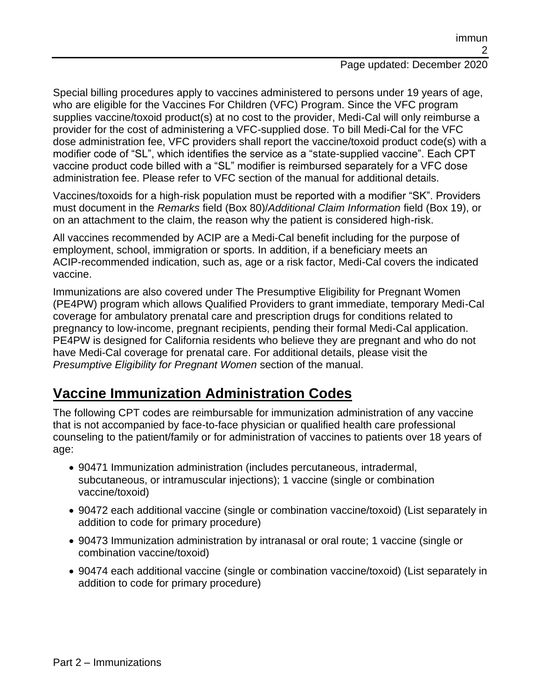Special billing procedures apply to vaccines administered to persons under 19 years of age, who are eligible for the Vaccines For Children (VFC) Program. Since the VFC program supplies vaccine/toxoid product(s) at no cost to the provider, Medi-Cal will only reimburse a provider for the cost of administering a VFC-supplied dose. To bill Medi-Cal for the VFC dose administration fee, VFC providers shall report the vaccine/toxoid product code(s) with a modifier code of "SL", which identifies the service as a "state-supplied vaccine". Each CPT vaccine product code billed with a "SL" modifier is reimbursed separately for a VFC dose administration fee. Please refer to VFC section of the manual for additional details.

Vaccines/toxoids for a high-risk population must be reported with a modifier "SK". Providers must document in the *Remarks* field (Box 80)/*Additional Claim Information* field (Box 19), or on an attachment to the claim, the reason why the patient is considered high-risk.

All vaccines recommended by ACIP are a Medi-Cal benefit including for the purpose of employment, school, immigration or sports. In addition, if a beneficiary meets an ACIP-recommended indication, such as, age or a risk factor, Medi-Cal covers the indicated vaccine.

Immunizations are also covered under The Presumptive Eligibility for Pregnant Women (PE4PW) program which allows Qualified Providers to grant immediate, temporary Medi-Cal coverage for ambulatory prenatal care and prescription drugs for conditions related to pregnancy to low-income, pregnant recipients, pending their formal Medi-Cal application. PE4PW is designed for California residents who believe they are pregnant and who do not have Medi-Cal coverage for prenatal care. For additional details, please visit the *Presumptive Eligibility for Pregnant Women* section of the manual.

# **Vaccine Immunization Administration Codes**

The following CPT codes are reimbursable for immunization administration of any vaccine that is not accompanied by face-to-face physician or qualified health care professional counseling to the patient/family or for administration of vaccines to patients over 18 years of age:

- 90471 Immunization administration (includes percutaneous, intradermal, subcutaneous, or intramuscular injections); 1 vaccine (single or combination vaccine/toxoid)
- 90472 each additional vaccine (single or combination vaccine/toxoid) (List separately in addition to code for primary procedure)
- 90473 Immunization administration by intranasal or oral route; 1 vaccine (single or combination vaccine/toxoid)
- 90474 each additional vaccine (single or combination vaccine/toxoid) (List separately in addition to code for primary procedure)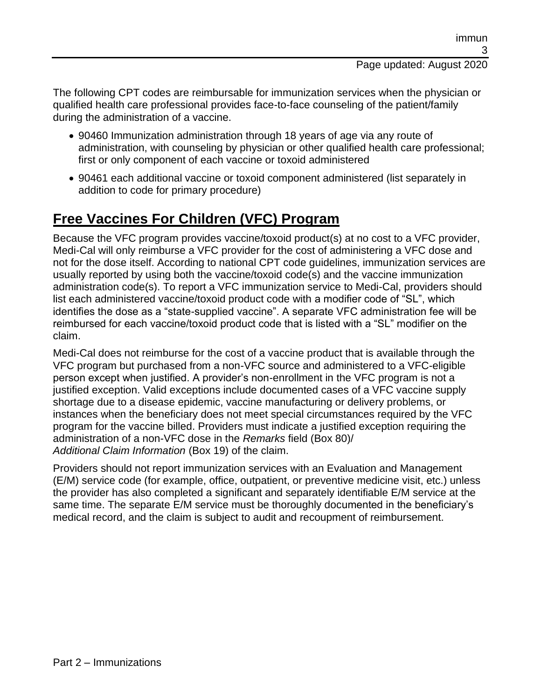#### The following CPT codes are reimbursable for immunization services when the physician or qualified health care professional provides face-to-face counseling of the patient/family during the administration of a vaccine.

- 90460 Immunization administration through 18 years of age via any route of administration, with counseling by physician or other qualified health care professional; first or only component of each vaccine or toxoid administered
- 90461 each additional vaccine or toxoid component administered (list separately in addition to code for primary procedure)

# **Free Vaccines For Children (VFC) Program**

Because the VFC program provides vaccine/toxoid product(s) at no cost to a VFC provider, Medi-Cal will only reimburse a VFC provider for the cost of administering a VFC dose and not for the dose itself. According to national CPT code guidelines, immunization services are usually reported by using both the vaccine/toxoid code(s) and the vaccine immunization administration code(s). To report a VFC immunization service to Medi-Cal, providers should list each administered vaccine/toxoid product code with a modifier code of "SL", which identifies the dose as a "state-supplied vaccine". A separate VFC administration fee will be reimbursed for each vaccine/toxoid product code that is listed with a "SL" modifier on the claim.

Medi-Cal does not reimburse for the cost of a vaccine product that is available through the VFC program but purchased from a non-VFC source and administered to a VFC-eligible person except when justified. A provider's non-enrollment in the VFC program is not a justified exception. Valid exceptions include documented cases of a VFC vaccine supply shortage due to a disease epidemic, vaccine manufacturing or delivery problems, or instances when the beneficiary does not meet special circumstances required by the VFC program for the vaccine billed. Providers must indicate a justified exception requiring the administration of a non-VFC dose in the *Remarks* field (Box 80)/ *Additional Claim Information* (Box 19) of the claim.

Providers should not report immunization services with an Evaluation and Management (E/M) service code (for example, office, outpatient, or preventive medicine visit, etc.) unless the provider has also completed a significant and separately identifiable E/M service at the same time. The separate E/M service must be thoroughly documented in the beneficiary's medical record, and the claim is subject to audit and recoupment of reimbursement.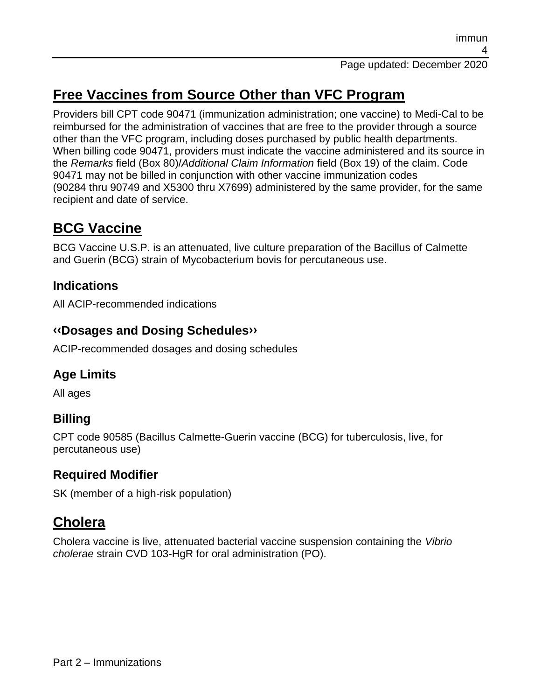# **Free Vaccines from Source Other than VFC Program**

Providers bill CPT code 90471 (immunization administration; one vaccine) to Medi-Cal to be reimbursed for the administration of vaccines that are free to the provider through a source other than the VFC program, including doses purchased by public health departments. When billing code 90471, providers must indicate the vaccine administered and its source in the *Remarks* field (Box 80)/*Additional Claim Information* field (Box 19) of the claim. Code 90471 may not be billed in conjunction with other vaccine immunization codes (90284 thru 90749 and X5300 thru X7699) administered by the same provider, for the same recipient and date of service.

# **BCG Vaccine**

BCG Vaccine U.S.P. is an attenuated, live culture preparation of the Bacillus of Calmette and Guerin (BCG) strain of Mycobacterium bovis for percutaneous use.

## **Indications**

All ACIP-recommended indications

#### **[‹‹D](#page-59-0)osages and Dosing Schedule[s››](#page-59-1)**

ACIP-recommended dosages and dosing schedules

## **Age Limits**

All ages

## **Billing**

CPT code 90585 (Bacillus Calmette-Guerin vaccine (BCG) for tuberculosis, live, for percutaneous use)

### **Required Modifier**

SK (member of a high-risk population)

# **Cholera**

Cholera vaccine is live, attenuated bacterial vaccine suspension containing the *Vibrio cholerae* strain CVD 103-HgR for oral administration (PO).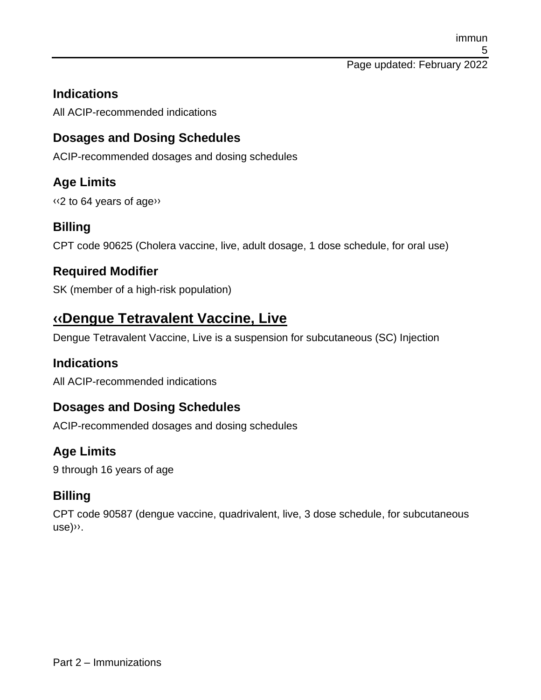#### **Indications**

All ACIP-recommended indications

## **Dosages and Dosing Schedules**

ACIP-recommended dosages and dosing schedules

## **Age Limits**

[‹‹2](#page-59-0) to 64 years of ag[e››](#page-59-1)

### **Billing**

CPT code 90625 (Cholera vaccine, live, adult dosage, 1 dose schedule, for oral use)

### **Required Modifier**

SK (member of a high-risk population)

# **[‹‹D](#page-59-0)engue Tetravalent Vaccine, Live**

Dengue Tetravalent Vaccine, Live is a suspension for subcutaneous (SC) Injection

### **Indications**

All ACIP-recommended indications

### **Dosages and Dosing Schedules**

ACIP-recommended dosages and dosing schedules

## **Age Limits**

9 through 16 years of age

## **Billing**

CPT code 90587 (dengue vaccine, quadrivalent, live, 3 dose schedule, for subcutaneous use[\)››.](#page-59-1)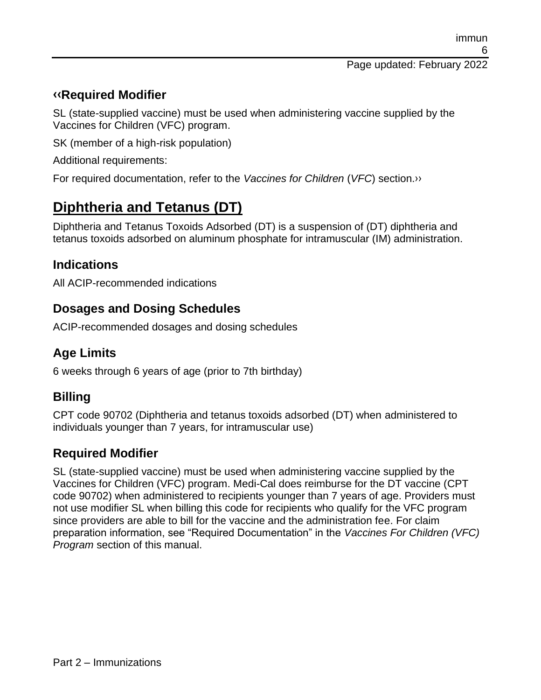#### **[‹‹R](#page-59-0)equired Modifier**

SL (state-supplied vaccine) must be used when administering vaccine supplied by the Vaccines for Children (VFC) program.

SK (member of a high-risk population)

Additional requirements:

For required documentation, refer to the *Vaccines for Children* (*VFC*) section[.››](#page-59-1)

# **Diphtheria and Tetanus (DT)**

Diphtheria and Tetanus Toxoids Adsorbed (DT) is a suspension of (DT) diphtheria and tetanus toxoids adsorbed on aluminum phosphate for intramuscular (IM) administration.

#### **Indications**

All ACIP-recommended indications

#### **Dosages and Dosing Schedules**

ACIP-recommended dosages and dosing schedules

### **Age Limits**

6 weeks through 6 years of age (prior to 7th birthday)

### **Billing**

CPT code 90702 (Diphtheria and tetanus toxoids adsorbed (DT) when administered to individuals younger than 7 years, for intramuscular use)

### **Required Modifier**

SL (state-supplied vaccine) must be used when administering vaccine supplied by the Vaccines for Children (VFC) program. Medi-Cal does reimburse for the DT vaccine (CPT code 90702) when administered to recipients younger than 7 years of age. Providers must not use modifier SL when billing this code for recipients who qualify for the VFC program since providers are able to bill for the vaccine and the administration fee. For claim preparation information, see "Required Documentation" in the *Vaccines For Children (VFC) Program* section of this manual.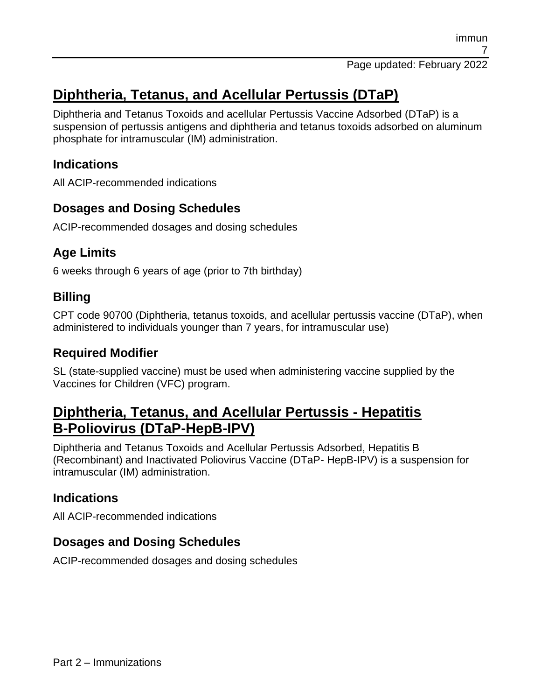# **Diphtheria, Tetanus, and Acellular Pertussis (DTaP)**

Diphtheria and Tetanus Toxoids and acellular Pertussis Vaccine Adsorbed (DTaP) is a suspension of pertussis antigens and diphtheria and tetanus toxoids adsorbed on aluminum phosphate for intramuscular (IM) administration.

#### **Indications**

All ACIP-recommended indications

## **Dosages and Dosing Schedules**

ACIP-recommended dosages and dosing schedules

### **Age Limits**

6 weeks through 6 years of age (prior to 7th birthday)

### **Billing**

CPT code 90700 (Diphtheria, tetanus toxoids, and acellular pertussis vaccine (DTaP), when administered to individuals younger than 7 years, for intramuscular use)

#### **Required Modifier**

SL (state-supplied vaccine) must be used when administering vaccine supplied by the Vaccines for Children (VFC) program.

# **Diphtheria, Tetanus, and Acellular Pertussis - Hepatitis B-Poliovirus (DTaP-HepB-IPV)**

Diphtheria and Tetanus Toxoids and Acellular Pertussis Adsorbed, Hepatitis B (Recombinant) and Inactivated Poliovirus Vaccine (DTaP- HepB-IPV) is a suspension for intramuscular (IM) administration.

### **Indications**

All ACIP-recommended indications

### **Dosages and Dosing Schedules**

ACIP-recommended dosages and dosing schedules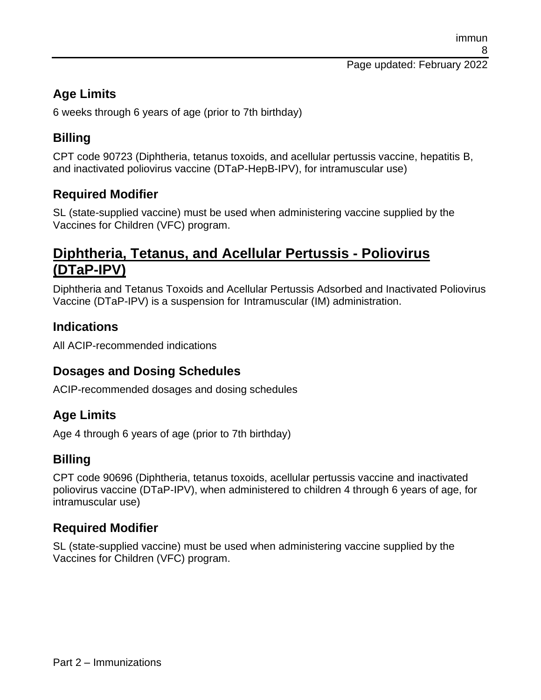Page updated: February 2022

## **Age Limits**

6 weeks through 6 years of age (prior to 7th birthday)

## **Billing**

CPT code 90723 (Diphtheria, tetanus toxoids, and acellular pertussis vaccine, hepatitis B, and inactivated poliovirus vaccine (DTaP-HepB-IPV), for intramuscular use)

#### **Required Modifier**

SL (state-supplied vaccine) must be used when administering vaccine supplied by the Vaccines for Children (VFC) program.

# **Diphtheria, Tetanus, and Acellular Pertussis - Poliovirus (DTaP-IPV)**

Diphtheria and Tetanus Toxoids and Acellular Pertussis Adsorbed and Inactivated Poliovirus Vaccine (DTaP-IPV) is a suspension for Intramuscular (IM) administration.

#### **Indications**

All ACIP-recommended indications

#### **Dosages and Dosing Schedules**

ACIP-recommended dosages and dosing schedules

### **Age Limits**

Age 4 through 6 years of age (prior to 7th birthday)

#### **Billing**

CPT code 90696 (Diphtheria, tetanus toxoids, acellular pertussis vaccine and inactivated poliovirus vaccine (DTaP-IPV), when administered to children 4 through 6 years of age, for intramuscular use)

#### **Required Modifier**

SL (state-supplied vaccine) must be used when administering vaccine supplied by the Vaccines for Children (VFC) program.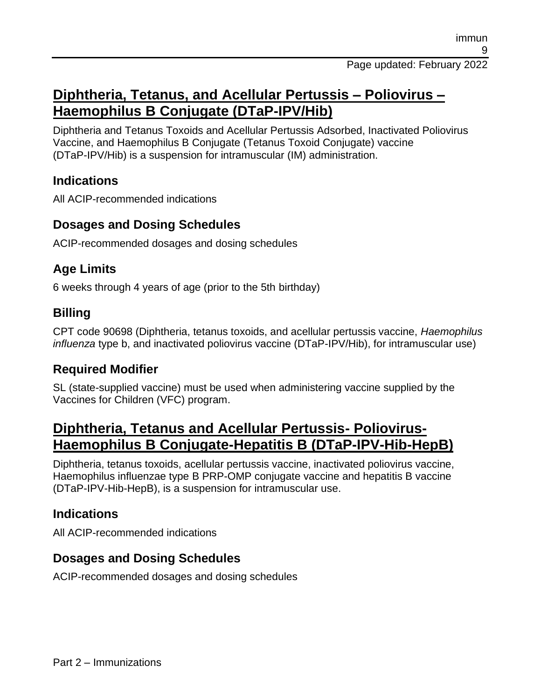# **Diphtheria, Tetanus, and Acellular Pertussis – Poliovirus – Haemophilus B Conjugate (DTaP-IPV/Hib)**

Diphtheria and Tetanus Toxoids and Acellular Pertussis Adsorbed, Inactivated Poliovirus Vaccine, and Haemophilus B Conjugate (Tetanus Toxoid Conjugate) vaccine (DTaP-IPV/Hib) is a suspension for intramuscular (IM) administration.

#### **Indications**

All ACIP-recommended indications

#### **Dosages and Dosing Schedules**

ACIP-recommended dosages and dosing schedules

#### **Age Limits**

6 weeks through 4 years of age (prior to the 5th birthday)

#### **Billing**

CPT code 90698 (Diphtheria, tetanus toxoids, and acellular pertussis vaccine, *Haemophilus influenza* type b, and inactivated poliovirus vaccine (DTaP-IPV/Hib), for intramuscular use)

#### **Required Modifier**

SL (state-supplied vaccine) must be used when administering vaccine supplied by the Vaccines for Children (VFC) program.

# **Diphtheria, Tetanus and Acellular Pertussis- Poliovirus-Haemophilus B Conjugate-Hepatitis B (DTaP-IPV-Hib-HepB)**

Diphtheria, tetanus toxoids, acellular pertussis vaccine, inactivated poliovirus vaccine, Haemophilus influenzae type B PRP-OMP conjugate vaccine and hepatitis B vaccine (DTaP-IPV-Hib-HepB), is a suspension for intramuscular use.

#### **Indications**

All ACIP-recommended indications

### **Dosages and Dosing Schedules**

ACIP-recommended dosages and dosing schedules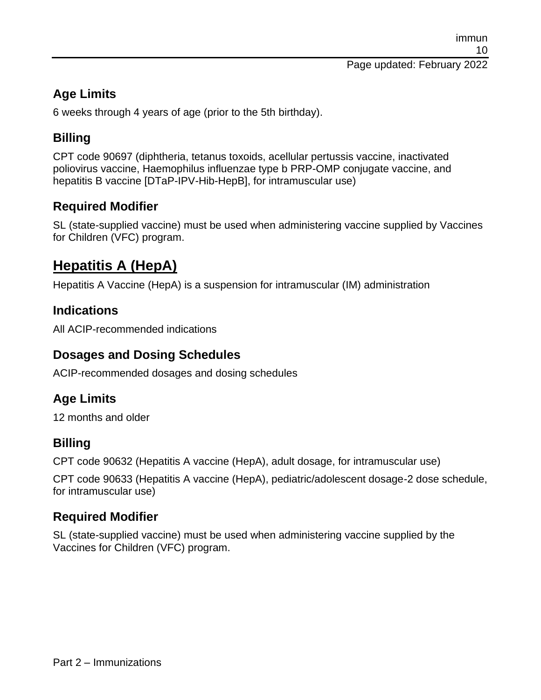### **Age Limits**

6 weeks through 4 years of age (prior to the 5th birthday).

## **Billing**

CPT code 90697 (diphtheria, tetanus toxoids, acellular pertussis vaccine, inactivated poliovirus vaccine, Haemophilus influenzae type b PRP-OMP conjugate vaccine, and hepatitis B vaccine [DTaP-IPV-Hib-HepB], for intramuscular use)

## **Required Modifier**

SL (state-supplied vaccine) must be used when administering vaccine supplied by Vaccines for Children (VFC) program.

# **Hepatitis A (HepA)**

Hepatitis A Vaccine (HepA) is a suspension for intramuscular (IM) administration

### **Indications**

All ACIP-recommended indications

#### **Dosages and Dosing Schedules**

ACIP-recommended dosages and dosing schedules

### **Age Limits**

12 months and older

### **Billing**

CPT code 90632 (Hepatitis A vaccine (HepA), adult dosage, for intramuscular use)

CPT code 90633 (Hepatitis A vaccine (HepA), pediatric/adolescent dosage-2 dose schedule, for intramuscular use)

### **Required Modifier**

SL (state-supplied vaccine) must be used when administering vaccine supplied by the Vaccines for Children (VFC) program.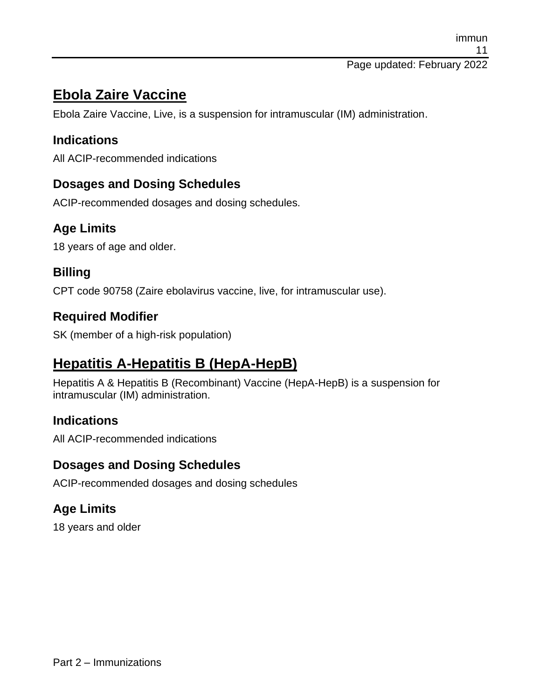# **Ebola Zaire Vaccine**

Ebola Zaire Vaccine, Live, is a suspension for intramuscular (IM) administration.

### **Indications**

All ACIP-recommended indications

## **Dosages and Dosing Schedules**

ACIP-recommended dosages and dosing schedules.

## **Age Limits**

18 years of age and older.

### **Billing**

CPT code 90758 (Zaire ebolavirus vaccine, live, for intramuscular use).

#### **Required Modifier**

SK (member of a high-risk population)

# **Hepatitis A-Hepatitis B (HepA-HepB)**

Hepatitis A & Hepatitis B (Recombinant) Vaccine (HepA-HepB) is a suspension for intramuscular (IM) administration.

### **Indications**

All ACIP-recommended indications

### **Dosages and Dosing Schedules**

ACIP-recommended dosages and dosing schedules

## **Age Limits**

18 years and older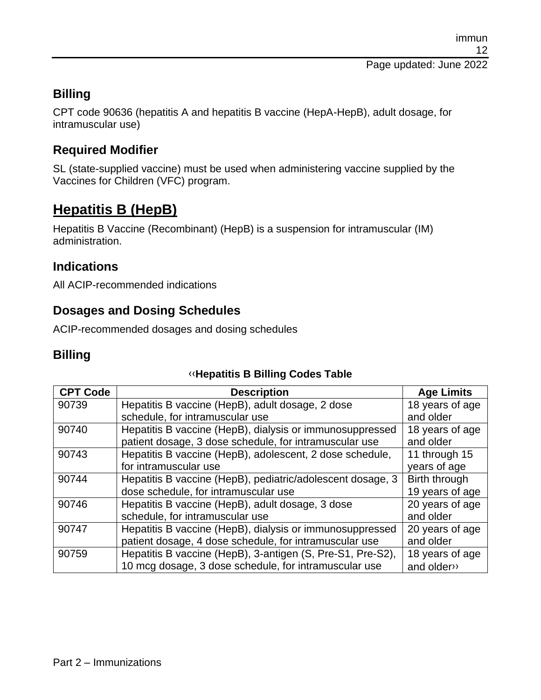## **Billing**

CPT code 90636 (hepatitis A and hepatitis B vaccine (HepA-HepB), adult dosage, for intramuscular use)

## **Required Modifier**

SL (state-supplied vaccine) must be used when administering vaccine supplied by the Vaccines for Children (VFC) program.

# **Hepatitis B (HepB)**

Hepatitis B Vaccine (Recombinant) (HepB) is a suspension for intramuscular (IM) administration.

## **Indications**

All ACIP-recommended indications

## **Dosages and Dosing Schedules**

ACIP-recommended dosages and dosing schedules

#### **Billing**

#### [‹‹](#page-59-0)**Hepatitis B Billing Codes Table**

| <b>CPT Code</b> | <b>Description</b>                                         | <b>Age Limits</b> |
|-----------------|------------------------------------------------------------|-------------------|
| 90739           | Hepatitis B vaccine (HepB), adult dosage, 2 dose           | 18 years of age   |
|                 | schedule, for intramuscular use                            | and older         |
| 90740           | Hepatitis B vaccine (HepB), dialysis or immunosuppressed   | 18 years of age   |
|                 | patient dosage, 3 dose schedule, for intramuscular use     | and older         |
| 90743           | Hepatitis B vaccine (HepB), adolescent, 2 dose schedule,   | 11 through 15     |
|                 | for intramuscular use                                      | years of age      |
| 90744           | Hepatitis B vaccine (HepB), pediatric/adolescent dosage, 3 | Birth through     |
|                 | dose schedule, for intramuscular use                       | 19 years of age   |
| 90746           | Hepatitis B vaccine (HepB), adult dosage, 3 dose           | 20 years of age   |
|                 | schedule, for intramuscular use                            | and older         |
| 90747           | Hepatitis B vaccine (HepB), dialysis or immunosuppressed   | 20 years of age   |
|                 | patient dosage, 4 dose schedule, for intramuscular use     | and older         |
| 90759           | Hepatitis B vaccine (HepB), 3-antigen (S, Pre-S1, Pre-S2), | 18 years of age   |
|                 | 10 mcg dosage, 3 dose schedule, for intramuscular use      | and older»        |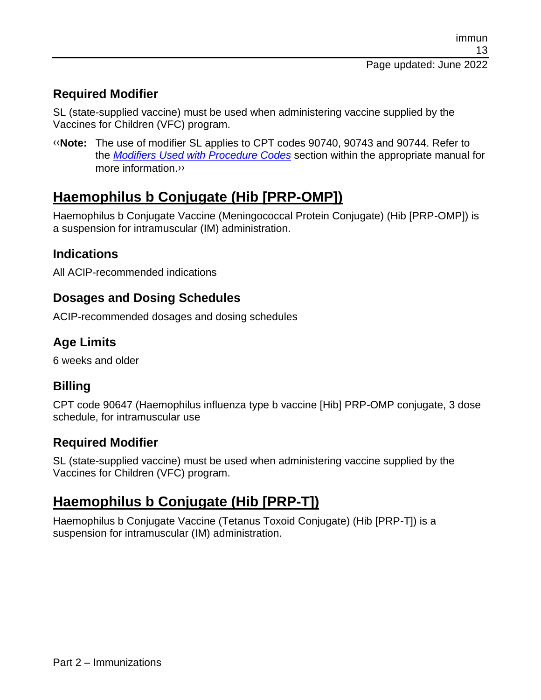### **Required Modifier**

SL (state-supplied vaccine) must be used when administering vaccine supplied by the Vaccines for Children (VFC) program.

[‹‹](#page-59-0)**Note:** The use of modifier SL applies to CPT codes 90740, 90743 and 90744. Refer to the *[Modifiers Used with Procedure Codes](https://files.medi-cal.ca.gov/pubsdoco/publications/masters-mtp/part2/modifused.pdf)* section within the appropriate manual for more information[.››](#page-59-1)

# **Haemophilus b Conjugate (Hib [PRP-OMP])**

Haemophilus b Conjugate Vaccine (Meningococcal Protein Conjugate) (Hib [PRP-OMP]) is a suspension for intramuscular (IM) administration.

## **Indications**

All ACIP-recommended indications

### **Dosages and Dosing Schedules**

ACIP-recommended dosages and dosing schedules

## **Age Limits**

6 weeks and older

### **Billing**

CPT code 90647 (Haemophilus influenza type b vaccine [Hib] PRP-OMP conjugate, 3 dose schedule, for intramuscular use

### **Required Modifier**

SL (state-supplied vaccine) must be used when administering vaccine supplied by the Vaccines for Children (VFC) program.

# **Haemophilus b Conjugate (Hib [PRP-T])**

Haemophilus b Conjugate Vaccine (Tetanus Toxoid Conjugate) (Hib [PRP-T]) is a suspension for intramuscular (IM) administration.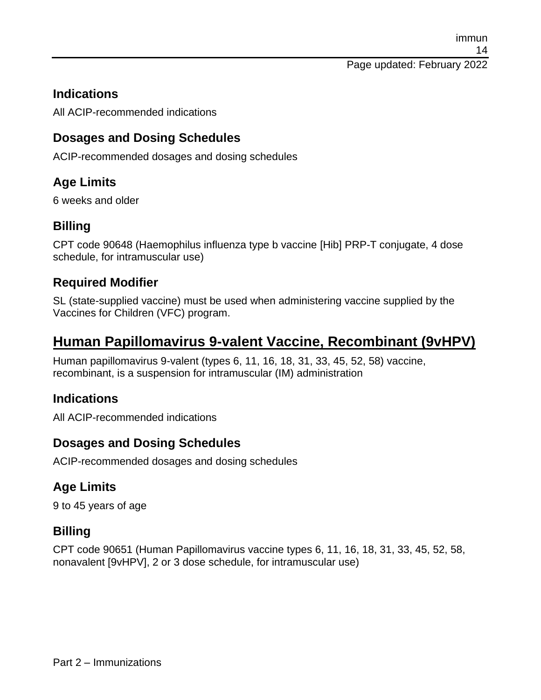#### **Indications**

All ACIP-recommended indications

#### **Dosages and Dosing Schedules**

ACIP-recommended dosages and dosing schedules

### **Age Limits**

6 weeks and older

#### **Billing**

CPT code 90648 (Haemophilus influenza type b vaccine [Hib] PRP-T conjugate, 4 dose schedule, for intramuscular use)

#### **Required Modifier**

SL (state-supplied vaccine) must be used when administering vaccine supplied by the Vaccines for Children (VFC) program.

# **Human Papillomavirus 9-valent Vaccine, Recombinant (9vHPV)**

Human papillomavirus 9-valent (types 6, 11, 16, 18, 31, 33, 45, 52, 58) vaccine, recombinant, is a suspension for intramuscular (IM) administration

#### **Indications**

All ACIP-recommended indications

#### **Dosages and Dosing Schedules**

ACIP-recommended dosages and dosing schedules

### **Age Limits**

9 to 45 years of age

#### **Billing**

CPT code 90651 (Human Papillomavirus vaccine types 6, 11, 16, 18, 31, 33, 45, 52, 58, nonavalent [9vHPV], 2 or 3 dose schedule, for intramuscular use)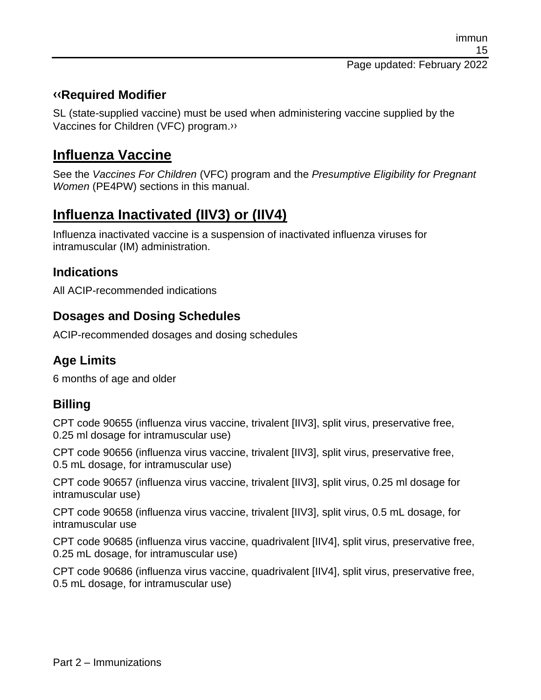#### **[‹‹R](#page-59-0)equired Modifier**

SL (state-supplied vaccine) must be used when administering vaccine supplied by the Vaccines for Children (VFC) program[.››](#page-59-1)

# **Influenza Vaccine**

See the *Vaccines For Children* (VFC) program and the *Presumptive Eligibility for Pregnant Women* (PE4PW) sections in this manual.

# **Influenza Inactivated (IIV3) or (IIV4)**

Influenza inactivated vaccine is a suspension of inactivated influenza viruses for intramuscular (IM) administration.

#### **Indications**

All ACIP-recommended indications

#### **Dosages and Dosing Schedules**

ACIP-recommended dosages and dosing schedules

## **Age Limits**

6 months of age and older

### **Billing**

CPT code 90655 (influenza virus vaccine, trivalent [IIV3], split virus, preservative free, 0.25 ml dosage for intramuscular use)

CPT code 90656 (influenza virus vaccine, trivalent [IIV3], split virus, preservative free, 0.5 mL dosage, for intramuscular use)

CPT code 90657 (influenza virus vaccine, trivalent [IIV3], split virus, 0.25 ml dosage for intramuscular use)

CPT code 90658 (influenza virus vaccine, trivalent [IIV3], split virus, 0.5 mL dosage, for intramuscular use

CPT code 90685 (influenza virus vaccine, quadrivalent [IIV4], split virus, preservative free, 0.25 mL dosage, for intramuscular use)

CPT code 90686 (influenza virus vaccine, quadrivalent [IIV4], split virus, preservative free, 0.5 mL dosage, for intramuscular use)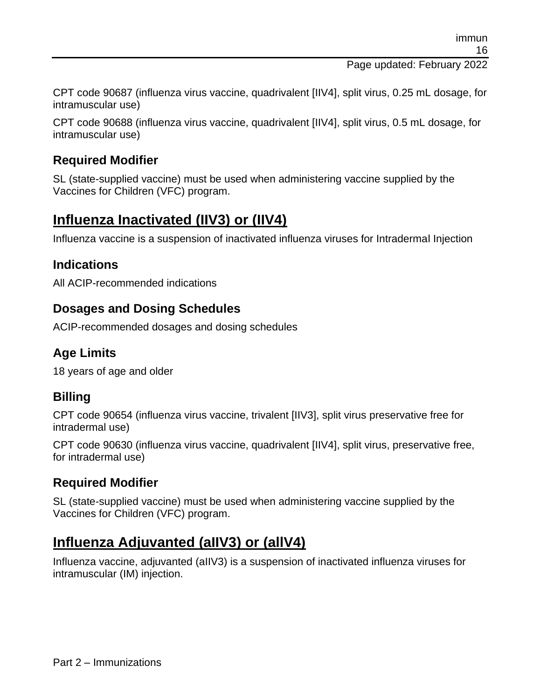Page updated: February 2022

CPT code 90687 (influenza virus vaccine, quadrivalent [IIV4], split virus, 0.25 mL dosage, for intramuscular use)

CPT code 90688 (influenza virus vaccine, quadrivalent [IIV4], split virus, 0.5 mL dosage, for intramuscular use)

### **Required Modifier**

SL (state-supplied vaccine) must be used when administering vaccine supplied by the Vaccines for Children (VFC) program.

# **Influenza Inactivated (IIV3) or (IIV4)**

Influenza vaccine is a suspension of inactivated influenza viruses for Intradermal Injection

#### **Indications**

All ACIP-recommended indications

### **Dosages and Dosing Schedules**

ACIP-recommended dosages and dosing schedules

## **Age Limits**

18 years of age and older

## **Billing**

CPT code 90654 (influenza virus vaccine, trivalent [IIV3], split virus preservative free for intradermal use)

CPT code 90630 (influenza virus vaccine, quadrivalent [IIV4], split virus, preservative free, for intradermal use)

### **Required Modifier**

SL (state-supplied vaccine) must be used when administering vaccine supplied by the Vaccines for Children (VFC) program.

# **Influenza Adjuvanted (aIIV3) or (allV4)**

Influenza vaccine, adjuvanted (aIIV3) is a suspension of inactivated influenza viruses for intramuscular (IM) injection.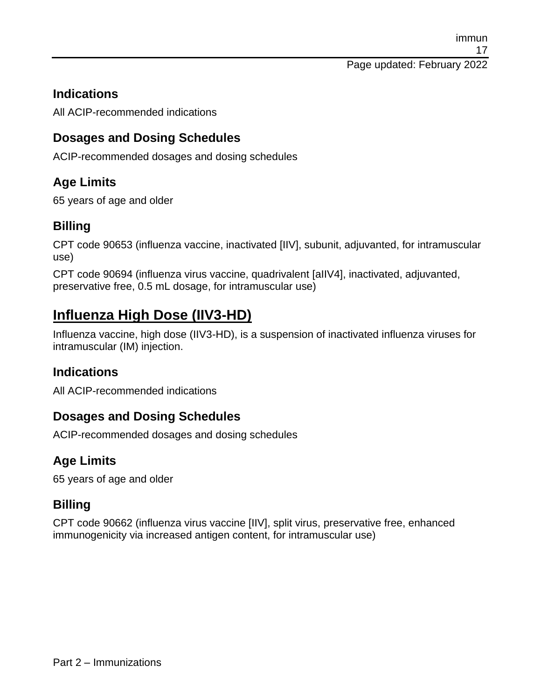#### **Indications**

All ACIP-recommended indications

#### **Dosages and Dosing Schedules**

ACIP-recommended dosages and dosing schedules

### **Age Limits**

65 years of age and older

#### **Billing**

CPT code 90653 (influenza vaccine, inactivated [IIV], subunit, adjuvanted, for intramuscular use)

CPT code 90694 (influenza virus vaccine, quadrivalent [aIIV4], inactivated, adjuvanted, preservative free, 0.5 mL dosage, for intramuscular use)

# **Influenza High Dose (IIV3-HD)**

Influenza vaccine, high dose (IIV3-HD), is a suspension of inactivated influenza viruses for intramuscular (IM) injection.

#### **Indications**

All ACIP-recommended indications

### **Dosages and Dosing Schedules**

ACIP-recommended dosages and dosing schedules

### **Age Limits**

65 years of age and older

#### **Billing**

CPT code 90662 (influenza virus vaccine [IIV], split virus, preservative free, enhanced immunogenicity via increased antigen content, for intramuscular use)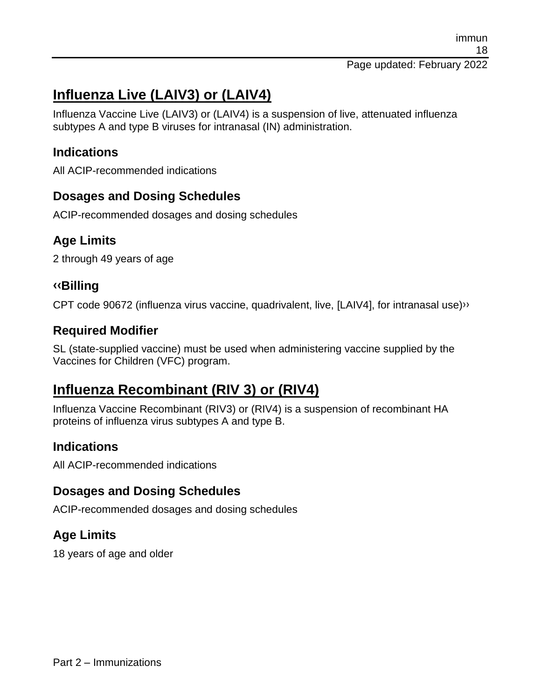# **Influenza Live (LAIV3) or (LAIV4)**

Influenza Vaccine Live (LAIV3) or (LAIV4) is a suspension of live, attenuated influenza subtypes A and type B viruses for intranasal (IN) administration.

#### **Indications**

All ACIP-recommended indications

#### **Dosages and Dosing Schedules**

ACIP-recommended dosages and dosing schedules

### **Age Limits**

2 through 49 years of age

#### **[‹‹B](#page-59-0)illing**

CPT code 90672 (influenza virus vaccine, quadrivalent, live, [LAIV4], for intranasal use[\)››](#page-59-1)

#### **Required Modifier**

SL (state-supplied vaccine) must be used when administering vaccine supplied by the Vaccines for Children (VFC) program.

# **Influenza Recombinant (RIV 3) or (RIV4)**

Influenza Vaccine Recombinant (RIV3) or (RIV4) is a suspension of recombinant HA proteins of influenza virus subtypes A and type B.

#### **Indications**

All ACIP-recommended indications

#### **Dosages and Dosing Schedules**

ACIP-recommended dosages and dosing schedules

### **Age Limits**

18 years of age and older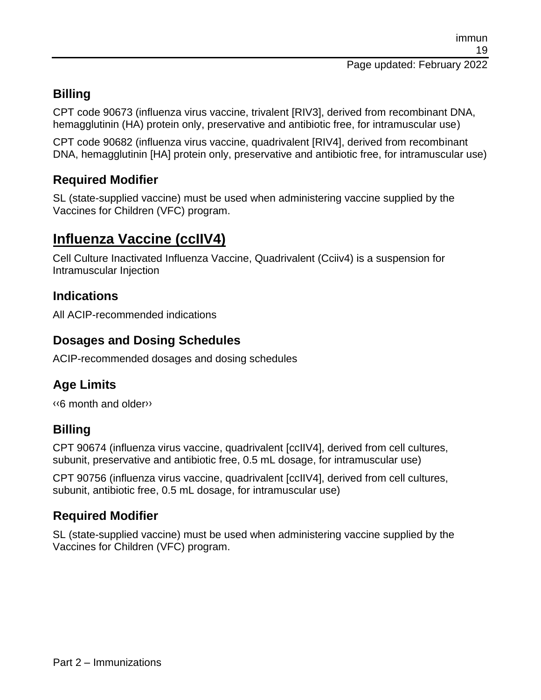## **Billing**

CPT code 90673 (influenza virus vaccine, trivalent [RIV3], derived from recombinant DNA, hemagglutinin (HA) protein only, preservative and antibiotic free, for intramuscular use)

CPT code 90682 (influenza virus vaccine, quadrivalent [RIV4], derived from recombinant DNA, hemagglutinin [HA] protein only, preservative and antibiotic free, for intramuscular use)

### **Required Modifier**

SL (state-supplied vaccine) must be used when administering vaccine supplied by the Vaccines for Children (VFC) program.

# **Influenza Vaccine (ccIIV4)**

Cell Culture Inactivated Influenza Vaccine, Quadrivalent (Cciiv4) is a suspension for Intramuscular Injection

#### **Indications**

All ACIP-recommended indications

#### **Dosages and Dosing Schedules**

ACIP-recommended dosages and dosing schedules

### **Age Limits**

[‹‹6](#page-59-0) month and olde[r››](#page-59-1)

#### **Billing**

CPT 90674 (influenza virus vaccine, quadrivalent [ccIIV4], derived from cell cultures, subunit, preservative and antibiotic free, 0.5 mL dosage, for intramuscular use)

CPT 90756 (influenza virus vaccine, quadrivalent [ccIIV4], derived from cell cultures, subunit, antibiotic free, 0.5 mL dosage, for intramuscular use)

### **Required Modifier**

SL (state-supplied vaccine) must be used when administering vaccine supplied by the Vaccines for Children (VFC) program.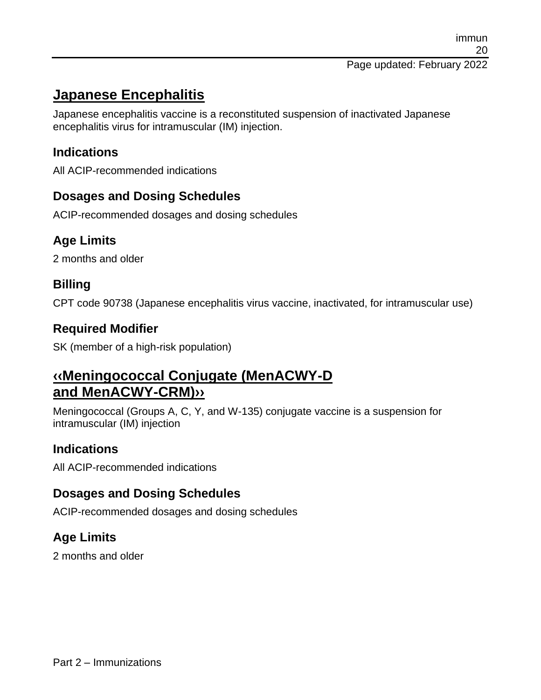# **Japanese Encephalitis**

Japanese encephalitis vaccine is a reconstituted suspension of inactivated Japanese encephalitis virus for intramuscular (IM) injection.

### **Indications**

All ACIP-recommended indications

### **Dosages and Dosing Schedules**

ACIP-recommended dosages and dosing schedules

## **Age Limits**

2 months and older

## **Billing**

CPT code 90738 (Japanese encephalitis virus vaccine, inactivated, for intramuscular use)

## **Required Modifier**

SK (member of a high-risk population)

# **[‹‹M](#page-59-0)eningococcal Conjugate (MenACWY-D and MenACWY-CRM[\)››](#page-59-1)**

Meningococcal (Groups A, C, Y, and W-135) conjugate vaccine is a suspension for intramuscular (IM) injection

## **Indications**

All ACIP-recommended indications

### **Dosages and Dosing Schedules**

ACIP-recommended dosages and dosing schedules

## **Age Limits**

2 months and older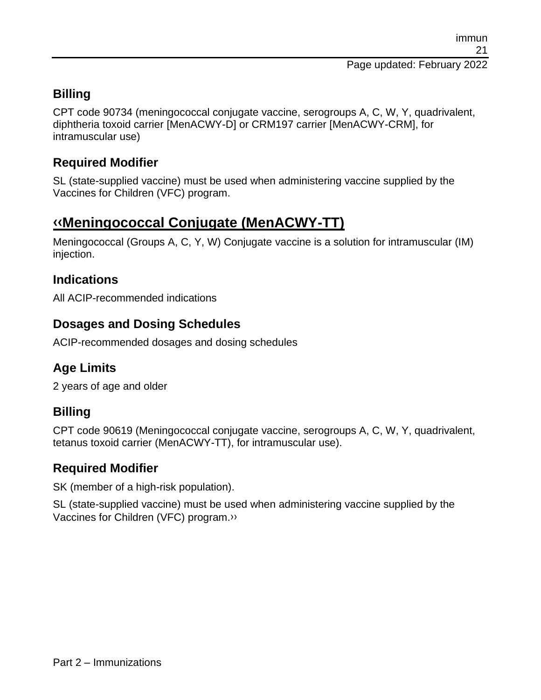## **Billing**

CPT code 90734 (meningococcal conjugate vaccine, serogroups A, C, W, Y, quadrivalent, diphtheria toxoid carrier [MenACWY-D] or CRM197 carrier [MenACWY-CRM], for intramuscular use)

### **Required Modifier**

SL (state-supplied vaccine) must be used when administering vaccine supplied by the Vaccines for Children (VFC) program.

# **[‹‹M](#page-59-0)eningococcal Conjugate (MenACWY-TT)**

Meningococcal (Groups A, C, Y, W) Conjugate vaccine is a solution for intramuscular (IM) injection.

#### **Indications**

All ACIP-recommended indications

## **Dosages and Dosing Schedules**

ACIP-recommended dosages and dosing schedules

## **Age Limits**

2 years of age and older

## **Billing**

CPT code 90619 (Meningococcal conjugate vaccine, serogroups A, C, W, Y, quadrivalent, tetanus toxoid carrier (MenACWY-TT), for intramuscular use).

#### **Required Modifier**

SK (member of a high-risk population).

SL (state-supplied vaccine) must be used when administering vaccine supplied by the Vaccines for Children (VFC) program[.››](#page-59-1)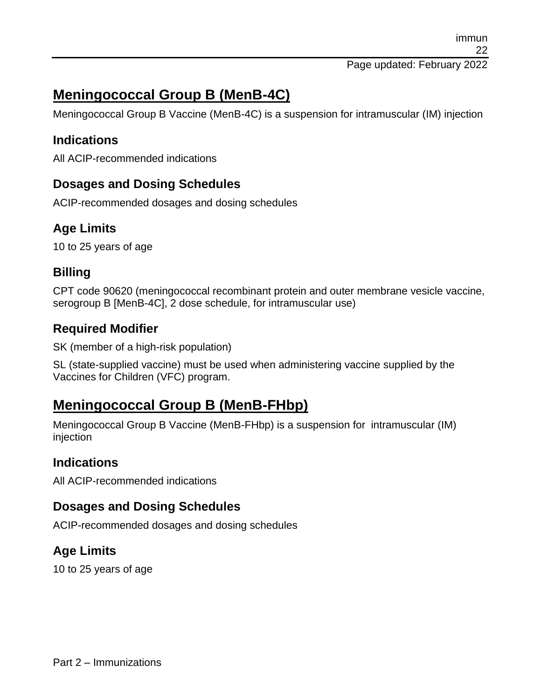# **Meningococcal Group B (MenB-4C)**

Meningococcal Group B Vaccine (MenB-4C) is a suspension for intramuscular (IM) injection

### **Indications**

All ACIP-recommended indications

### **Dosages and Dosing Schedules**

ACIP-recommended dosages and dosing schedules

## **Age Limits**

10 to 25 years of age

#### **Billing**

CPT code 90620 (meningococcal recombinant protein and outer membrane vesicle vaccine, serogroup B [MenB-4C], 2 dose schedule, for intramuscular use)

### **Required Modifier**

SK (member of a high-risk population)

SL (state-supplied vaccine) must be used when administering vaccine supplied by the Vaccines for Children (VFC) program.

# **Meningococcal Group B (MenB-FHbp)**

Meningococcal Group B Vaccine (MenB-FHbp) is a suspension for intramuscular (IM) injection

### **Indications**

All ACIP-recommended indications

### **Dosages and Dosing Schedules**

ACIP-recommended dosages and dosing schedules

## **Age Limits**

10 to 25 years of age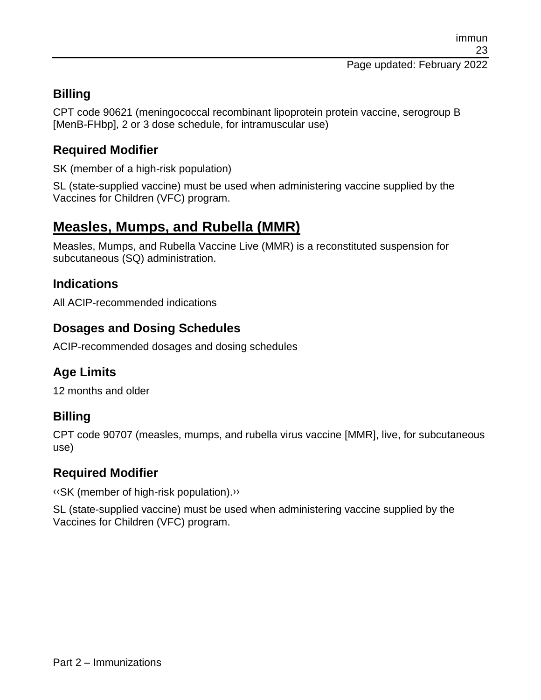### **Billing**

CPT code 90621 (meningococcal recombinant lipoprotein protein vaccine, serogroup B [MenB-FHbp], 2 or 3 dose schedule, for intramuscular use)

#### **Required Modifier**

SK (member of a high-risk population)

SL (state-supplied vaccine) must be used when administering vaccine supplied by the Vaccines for Children (VFC) program.

# **Measles, Mumps, and Rubella (MMR)**

Measles, Mumps, and Rubella Vaccine Live (MMR) is a reconstituted suspension for subcutaneous (SQ) administration.

#### **Indications**

All ACIP-recommended indications

#### **Dosages and Dosing Schedules**

ACIP-recommended dosages and dosing schedules

### **Age Limits**

12 months and older

#### **Billing**

CPT code 90707 (measles, mumps, and rubella virus vaccine [MMR], live, for subcutaneous use)

#### **Required Modifier**

[‹‹S](#page-59-0)K (member of high-risk population)[.››](#page-59-1)

SL (state-supplied vaccine) must be used when administering vaccine supplied by the Vaccines for Children (VFC) program.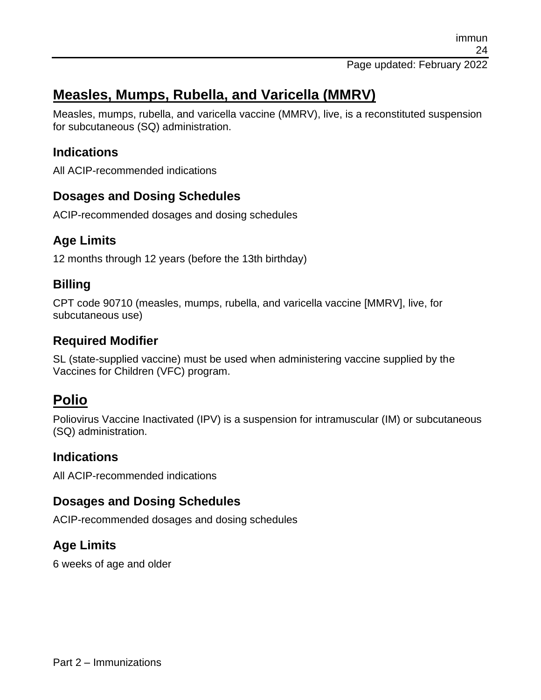# **Measles, Mumps, Rubella, and Varicella (MMRV)**

Measles, mumps, rubella, and varicella vaccine (MMRV), live, is a reconstituted suspension for subcutaneous (SQ) administration.

#### **Indications**

All ACIP-recommended indications

#### **Dosages and Dosing Schedules**

ACIP-recommended dosages and dosing schedules

### **Age Limits**

12 months through 12 years (before the 13th birthday)

#### **Billing**

CPT code 90710 (measles, mumps, rubella, and varicella vaccine [MMRV], live, for subcutaneous use)

### **Required Modifier**

SL (state-supplied vaccine) must be used when administering vaccine supplied by the Vaccines for Children (VFC) program.

# **Polio**

Poliovirus Vaccine Inactivated (IPV) is a suspension for intramuscular (IM) or subcutaneous (SQ) administration.

#### **Indications**

All ACIP-recommended indications

### **Dosages and Dosing Schedules**

ACIP-recommended dosages and dosing schedules

### **Age Limits**

6 weeks of age and older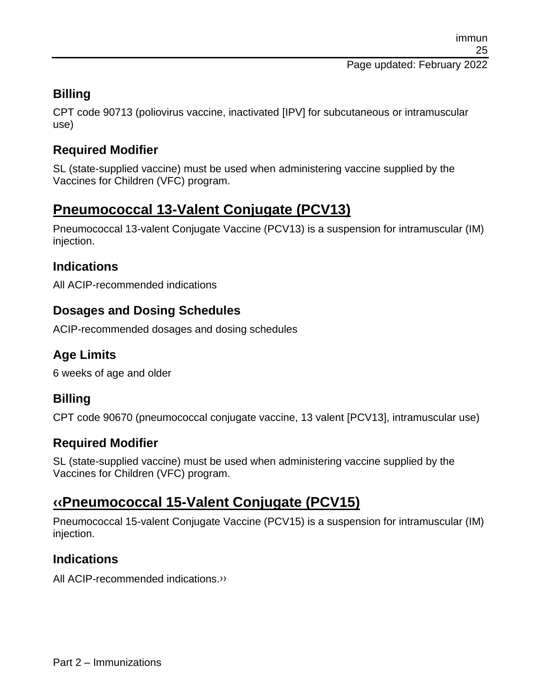#### **Billing**

CPT code 90713 (poliovirus vaccine, inactivated [IPV] for subcutaneous or intramuscular use)

### **Required Modifier**

SL (state-supplied vaccine) must be used when administering vaccine supplied by the Vaccines for Children (VFC) program.

# **Pneumococcal 13-Valent Conjugate (PCV13)**

Pneumococcal 13-valent Conjugate Vaccine (PCV13) is a suspension for intramuscular (IM) injection.

### **Indications**

All ACIP-recommended indications

### **Dosages and Dosing Schedules**

ACIP-recommended dosages and dosing schedules

### **Age Limits**

6 weeks of age and older

#### **Billing**

CPT code 90670 (pneumococcal conjugate vaccine, 13 valent [PCV13], intramuscular use)

### **Required Modifier**

SL (state-supplied vaccine) must be used when administering vaccine supplied by the Vaccines for Children (VFC) program.

# **[‹‹P](#page-59-0)neumococcal 15-Valent Conjugate (PCV15)**

Pneumococcal 15-valent Conjugate Vaccine (PCV15) is a suspension for intramuscular (IM) injection.

#### **Indications**

All ACIP-recommended indications[.››](#page-59-1)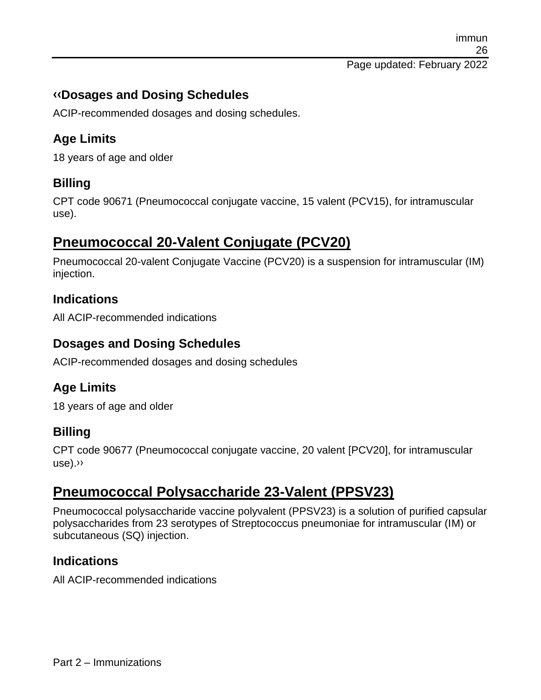immun 26 Page updated: February 2022

**[‹‹D](#page-59-0)osages and Dosing Schedules**

ACIP-recommended dosages and dosing schedules.

## **Age Limits**

18 years of age and older

## **Billing**

CPT code 90671 (Pneumococcal conjugate vaccine, 15 valent (PCV15), for intramuscular use).

# **Pneumococcal 20-Valent Conjugate (PCV20)**

Pneumococcal 20-valent Conjugate Vaccine (PCV20) is a suspension for intramuscular (IM) injection.

### **Indications**

All ACIP-recommended indications

#### **Dosages and Dosing Schedules**

ACIP-recommended dosages and dosing schedules

## **Age Limits**

18 years of age and older

### **Billing**

CPT code 90677 (Pneumococcal conjugate vaccine, 20 valent [PCV20], for intramuscular use)[.››](#page-59-1)

# **Pneumococcal Polysaccharide 23-Valent (PPSV23)**

Pneumococcal polysaccharide vaccine polyvalent (PPSV23) is a solution of purified capsular polysaccharides from 23 serotypes of Streptococcus pneumoniae for intramuscular (IM) or subcutaneous (SQ) injection.

### **Indications**

All ACIP-recommended indications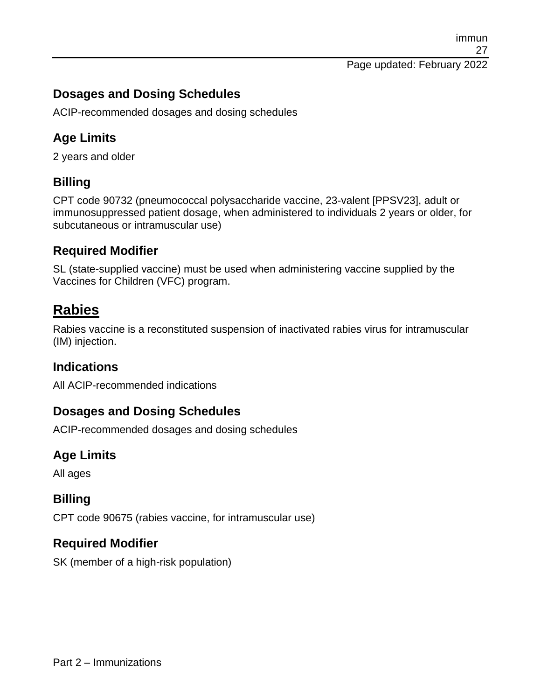immun 27 Page updated: February 2022

#### **Dosages and Dosing Schedules**

ACIP-recommended dosages and dosing schedules

#### **Age Limits**

2 years and older

#### **Billing**

CPT code 90732 (pneumococcal polysaccharide vaccine, 23-valent [PPSV23], adult or immunosuppressed patient dosage, when administered to individuals 2 years or older, for subcutaneous or intramuscular use)

#### **Required Modifier**

SL (state-supplied vaccine) must be used when administering vaccine supplied by the Vaccines for Children (VFC) program.

## **Rabies**

Rabies vaccine is a reconstituted suspension of inactivated rabies virus for intramuscular (IM) injection.

#### **Indications**

All ACIP-recommended indications

#### **Dosages and Dosing Schedules**

ACIP-recommended dosages and dosing schedules

#### **Age Limits**

All ages

#### **Billing**

CPT code 90675 (rabies vaccine, for intramuscular use)

#### **Required Modifier**

SK (member of a high-risk population)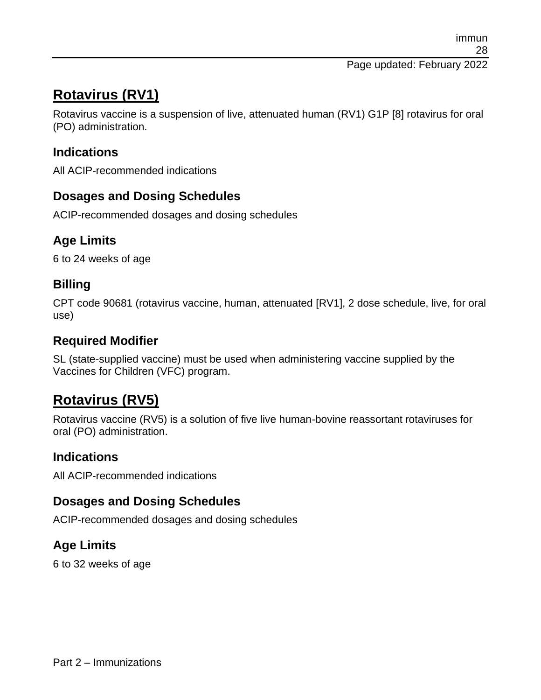# **Rotavirus (RV1)**

Rotavirus vaccine is a suspension of live, attenuated human (RV1) G1P [8] rotavirus for oral (PO) administration.

### **Indications**

All ACIP-recommended indications

#### **Dosages and Dosing Schedules**

ACIP-recommended dosages and dosing schedules

## **Age Limits**

6 to 24 weeks of age

#### **Billing**

CPT code 90681 (rotavirus vaccine, human, attenuated [RV1], 2 dose schedule, live, for oral use)

### **Required Modifier**

SL (state-supplied vaccine) must be used when administering vaccine supplied by the Vaccines for Children (VFC) program.

# **Rotavirus (RV5)**

Rotavirus vaccine (RV5) is a solution of five live human-bovine reassortant rotaviruses for oral (PO) administration.

#### **Indications**

All ACIP-recommended indications

### **Dosages and Dosing Schedules**

ACIP-recommended dosages and dosing schedules

### **Age Limits**

6 to 32 weeks of age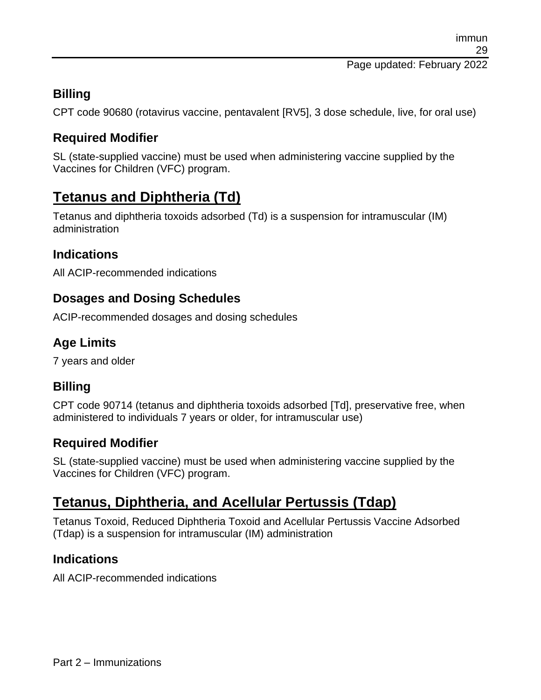Page updated: February 2022

## **Billing**

CPT code 90680 (rotavirus vaccine, pentavalent [RV5], 3 dose schedule, live, for oral use)

## **Required Modifier**

SL (state-supplied vaccine) must be used when administering vaccine supplied by the Vaccines for Children (VFC) program.

# **Tetanus and Diphtheria (Td)**

Tetanus and diphtheria toxoids adsorbed (Td) is a suspension for intramuscular (IM) administration

## **Indications**

All ACIP-recommended indications

## **Dosages and Dosing Schedules**

ACIP-recommended dosages and dosing schedules

## **Age Limits**

7 years and older

### **Billing**

CPT code 90714 (tetanus and diphtheria toxoids adsorbed [Td], preservative free, when administered to individuals 7 years or older, for intramuscular use)

## **Required Modifier**

SL (state-supplied vaccine) must be used when administering vaccine supplied by the Vaccines for Children (VFC) program.

# **Tetanus, Diphtheria, and Acellular Pertussis (Tdap)**

Tetanus Toxoid, Reduced Diphtheria Toxoid and Acellular Pertussis Vaccine Adsorbed (Tdap) is a suspension for intramuscular (IM) administration

### **Indications**

All ACIP-recommended indications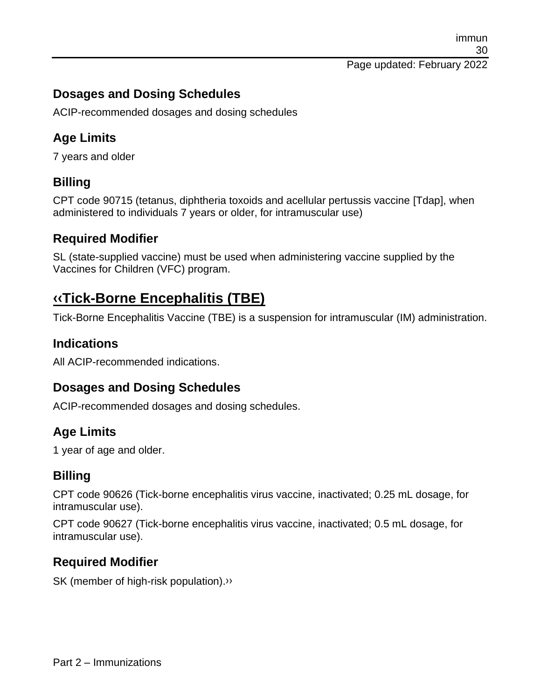immun 30 Page updated: February 2022

#### **Dosages and Dosing Schedules**

ACIP-recommended dosages and dosing schedules

#### **Age Limits**

7 years and older

#### **Billing**

CPT code 90715 (tetanus, diphtheria toxoids and acellular pertussis vaccine [Tdap], when administered to individuals 7 years or older, for intramuscular use)

#### **Required Modifier**

SL (state-supplied vaccine) must be used when administering vaccine supplied by the Vaccines for Children (VFC) program.

# **[‹‹T](#page-59-0)ick-Borne Encephalitis (TBE)**

Tick-Borne Encephalitis Vaccine (TBE) is a suspension for intramuscular (IM) administration.

#### **Indications**

All ACIP-recommended indications.

#### **Dosages and Dosing Schedules**

ACIP-recommended dosages and dosing schedules.

#### **Age Limits**

1 year of age and older.

#### **Billing**

CPT code 90626 (Tick-borne encephalitis virus vaccine, inactivated; 0.25 mL dosage, for intramuscular use).

CPT code 90627 (Tick-borne encephalitis virus vaccine, inactivated; 0.5 mL dosage, for intramuscular use).

#### **Required Modifier**

SK (member of high-risk population)[.››](#page-59-1)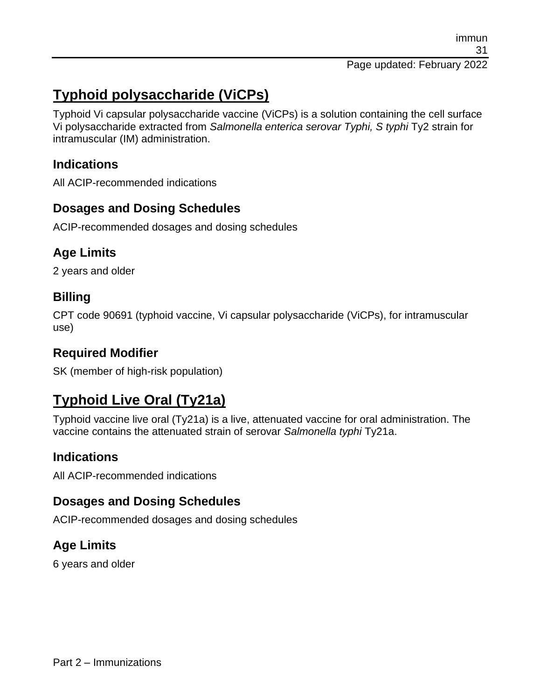# **Typhoid polysaccharide (ViCPs)**

Typhoid Vi capsular polysaccharide vaccine (ViCPs) is a solution containing the cell surface Vi polysaccharide extracted from *Salmonella enterica serovar Typhi, S typhi* Ty2 strain for intramuscular (IM) administration.

#### **Indications**

All ACIP-recommended indications

## **Dosages and Dosing Schedules**

ACIP-recommended dosages and dosing schedules

### **Age Limits**

2 years and older

### **Billing**

CPT code 90691 (typhoid vaccine, Vi capsular polysaccharide (ViCPs), for intramuscular use)

## **Required Modifier**

SK (member of high-risk population)

# **Typhoid Live Oral (Ty21a)**

Typhoid vaccine live oral (Ty21a) is a live, attenuated vaccine for oral administration. The vaccine contains the attenuated strain of serovar *Salmonella typhi* Ty21a.

### **Indications**

All ACIP-recommended indications

### **Dosages and Dosing Schedules**

ACIP-recommended dosages and dosing schedules

## **Age Limits**

6 years and older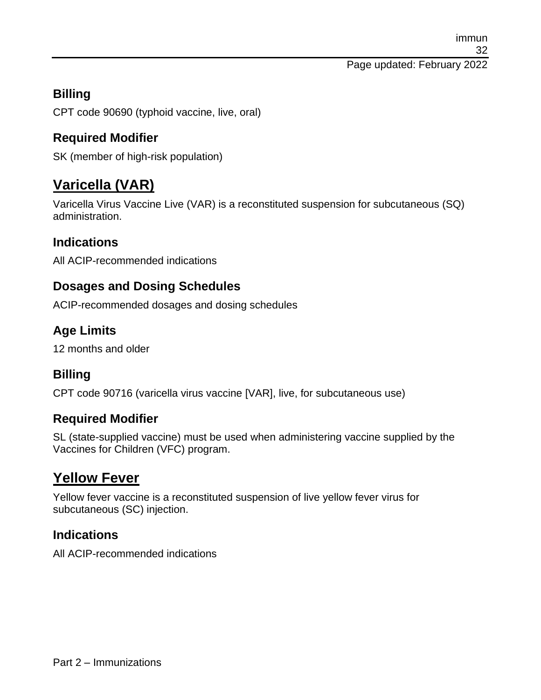### **Billing**

CPT code 90690 (typhoid vaccine, live, oral)

## **Required Modifier**

SK (member of high-risk population)

# **Varicella (VAR)**

Varicella Virus Vaccine Live (VAR) is a reconstituted suspension for subcutaneous (SQ) administration.

### **Indications**

All ACIP-recommended indications

#### **Dosages and Dosing Schedules**

ACIP-recommended dosages and dosing schedules

### **Age Limits**

12 months and older

### **Billing**

CPT code 90716 (varicella virus vaccine [VAR], live, for subcutaneous use)

#### **Required Modifier**

SL (state-supplied vaccine) must be used when administering vaccine supplied by the Vaccines for Children (VFC) program.

# **Yellow Fever**

Yellow fever vaccine is a reconstituted suspension of live yellow fever virus for subcutaneous (SC) injection.

#### **Indications**

All ACIP-recommended indications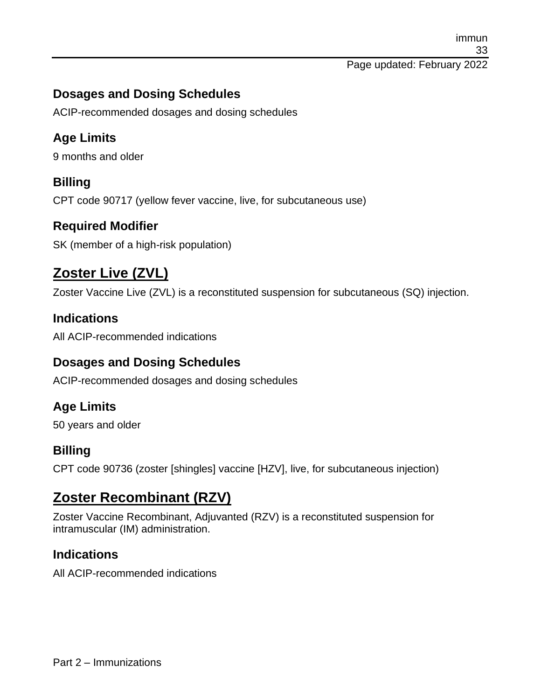immun 33 Page updated: February 2022

#### **Dosages and Dosing Schedules**

ACIP-recommended dosages and dosing schedules

#### **Age Limits**

9 months and older

#### **Billing**

CPT code 90717 (yellow fever vaccine, live, for subcutaneous use)

#### **Required Modifier**

SK (member of a high-risk population)

# **Zoster Live (ZVL)**

Zoster Vaccine Live (ZVL) is a reconstituted suspension for subcutaneous (SQ) injection.

#### **Indications**

All ACIP-recommended indications

#### **Dosages and Dosing Schedules**

ACIP-recommended dosages and dosing schedules

#### **Age Limits**

50 years and older

#### **Billing**

CPT code 90736 (zoster [shingles] vaccine [HZV], live, for subcutaneous injection)

## **Zoster Recombinant (RZV)**

Zoster Vaccine Recombinant, Adjuvanted (RZV) is a reconstituted suspension for intramuscular (IM) administration.

#### **Indications**

All ACIP-recommended indications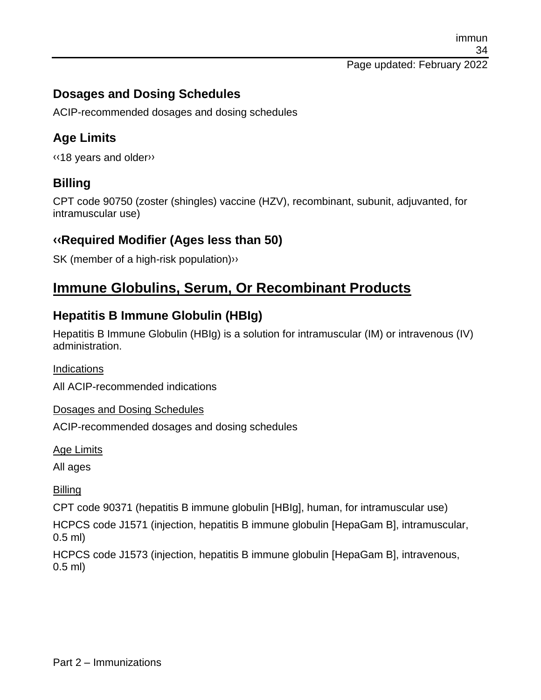immun 34 Page updated: February 2022

#### **Dosages and Dosing Schedules**

ACIP-recommended dosages and dosing schedules

#### **Age Limits**

[‹‹1](#page-59-0)8 years and olde[r››](#page-59-1)

#### **Billing**

CPT code 90750 (zoster (shingles) vaccine (HZV), recombinant, subunit, adjuvanted, for intramuscular use)

#### **[‹‹R](#page-59-0)equired Modifier (Ages less than 50)**

SK (member of a high-risk population[\)››](#page-59-1)

## **Immune Globulins, Serum, Or Recombinant Products**

#### **Hepatitis B Immune Globulin (HBIg)**

Hepatitis B Immune Globulin (HBIg) is a solution for intramuscular (IM) or intravenous (IV) administration.

**Indications** 

All ACIP-recommended indications

Dosages and Dosing Schedules

ACIP-recommended dosages and dosing schedules

Age Limits

All ages

**Billing** 

CPT code 90371 (hepatitis B immune globulin [HBIg], human, for intramuscular use)

HCPCS code J1571 (injection, hepatitis B immune globulin [HepaGam B], intramuscular, 0.5 ml)

HCPCS code J1573 (injection, hepatitis B immune globulin [HepaGam B], intravenous, 0.5 ml)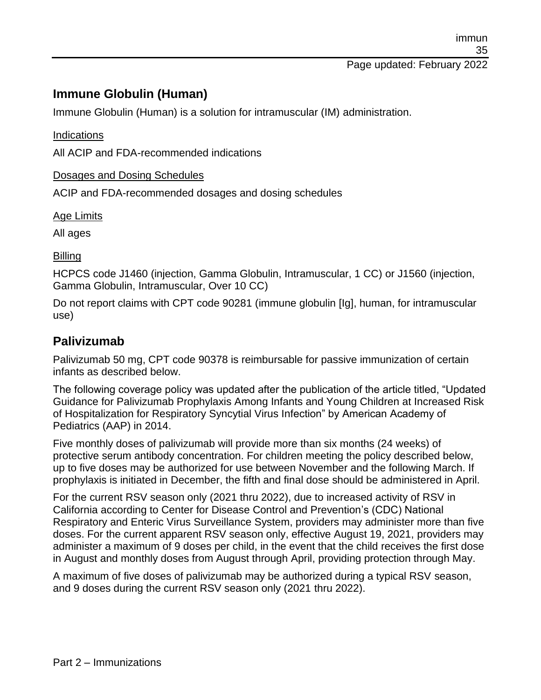#### **Immune Globulin (Human)**

Immune Globulin (Human) is a solution for intramuscular (IM) administration.

#### Indications

All ACIP and FDA-recommended indications

#### Dosages and Dosing Schedules

ACIP and FDA-recommended dosages and dosing schedules

Age Limits

All ages

#### Billing

HCPCS code J1460 (injection, Gamma Globulin, Intramuscular, 1 CC) or J1560 (injection, Gamma Globulin, Intramuscular, Over 10 CC)

Do not report claims with CPT code 90281 (immune globulin [Ig], human, for intramuscular use)

#### **Palivizumab**

Palivizumab 50 mg, CPT code 90378 is reimbursable for passive immunization of certain infants as described below.

The following coverage policy was updated after the publication of the article titled, "Updated Guidance for Palivizumab Prophylaxis Among Infants and Young Children at Increased Risk of Hospitalization for Respiratory Syncytial Virus Infection" by American Academy of Pediatrics (AAP) in 2014.

Five monthly doses of palivizumab will provide more than six months (24 weeks) of protective serum antibody concentration. For children meeting the policy described below, up to five doses may be authorized for use between November and the following March. If prophylaxis is initiated in December, the fifth and final dose should be administered in April.

For the current RSV season only (2021 thru 2022), due to increased activity of RSV in California according to Center for Disease Control and Prevention's (CDC) National Respiratory and Enteric Virus Surveillance System, providers may administer more than five doses. For the current apparent RSV season only, effective August 19, 2021, providers may administer a maximum of 9 doses per child, in the event that the child receives the first dose in August and monthly doses from August through April, providing protection through May.

A maximum of five doses of palivizumab may be authorized during a typical RSV season, and 9 doses during the current RSV season only (2021 thru 2022).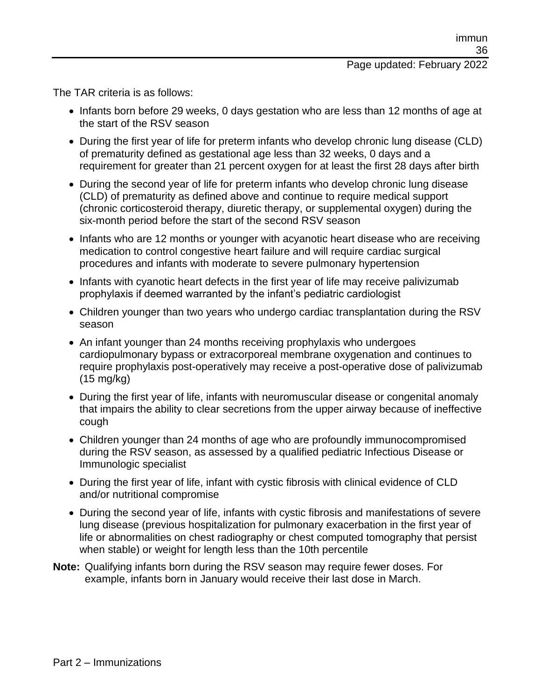#### Page updated: February 2022

The TAR criteria is as follows:

- Infants born before 29 weeks, 0 days gestation who are less than 12 months of age at the start of the RSV season
- During the first year of life for preterm infants who develop chronic lung disease (CLD) of prematurity defined as gestational age less than 32 weeks, 0 days and a requirement for greater than 21 percent oxygen for at least the first 28 days after birth
- During the second year of life for preterm infants who develop chronic lung disease (CLD) of prematurity as defined above and continue to require medical support (chronic corticosteroid therapy, diuretic therapy, or supplemental oxygen) during the six-month period before the start of the second RSV season
- Infants who are 12 months or younger with acyanotic heart disease who are receiving medication to control congestive heart failure and will require cardiac surgical procedures and infants with moderate to severe pulmonary hypertension
- Infants with cyanotic heart defects in the first year of life may receive palivizumab prophylaxis if deemed warranted by the infant's pediatric cardiologist
- Children younger than two years who undergo cardiac transplantation during the RSV season
- An infant younger than 24 months receiving prophylaxis who undergoes cardiopulmonary bypass or extracorporeal membrane oxygenation and continues to require prophylaxis post-operatively may receive a post-operative dose of palivizumab (15 mg/kg)
- During the first year of life, infants with neuromuscular disease or congenital anomaly that impairs the ability to clear secretions from the upper airway because of ineffective cough
- Children younger than 24 months of age who are profoundly immunocompromised during the RSV season, as assessed by a qualified pediatric Infectious Disease or Immunologic specialist
- During the first year of life, infant with cystic fibrosis with clinical evidence of CLD and/or nutritional compromise
- During the second year of life, infants with cystic fibrosis and manifestations of severe lung disease (previous hospitalization for pulmonary exacerbation in the first year of life or abnormalities on chest radiography or chest computed tomography that persist when stable) or weight for length less than the 10th percentile
- **Note:** Qualifying infants born during the RSV season may require fewer doses. For example, infants born in January would receive their last dose in March.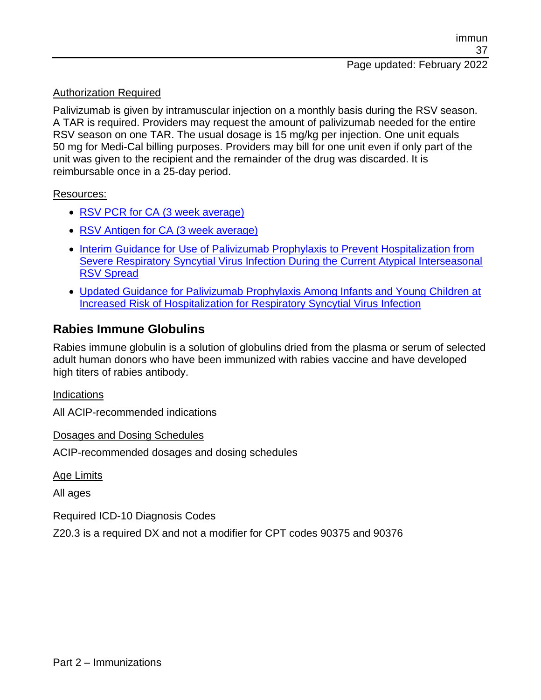#### Authorization Required

Palivizumab is given by intramuscular injection on a monthly basis during the RSV season. A TAR is required. Providers may request the amount of palivizumab needed for the entire RSV season on one TAR. The usual dosage is 15 mg/kg per injection. One unit equals 50 mg for Medi-Cal billing purposes. Providers may bill for one unit even if only part of the unit was given to the recipient and the remainder of the drug was discarded. It is reimbursable once in a 25-day period.

#### Resources:

- [RSV PCR for CA \(3 week average\)](https://www.cdc.gov/surveillance/nrevss/images/rsvstate/RSV4PPCent3AVG_StateCA.htm)
- [RSV Antigen for CA \(3 week average\)](https://www.cdc.gov/surveillance/nrevss/images/rsvstate/RSV1PPCent3AVG_StateCA.htm)
- Interim Guidance for Use of Palivizumab Prophylaxis to Prevent Hospitalization from [Severe Respiratory Syncytial Virus Infection During the Current Atypical Interseasonal](https://www.aap.org/en/pages/2019-novel-coronavirus-covid-19-infections/clinical-guidance/interim-guidance-for-use-of-palivizumab-prophylaxis-to-prevent-hospitalization/)  [RSV Spread](https://www.aap.org/en/pages/2019-novel-coronavirus-covid-19-infections/clinical-guidance/interim-guidance-for-use-of-palivizumab-prophylaxis-to-prevent-hospitalization/)
- [Updated Guidance for Palivizumab Prophylaxis Among Infants and Young Children at](https://pediatrics.aappublications.org/content/134/2/415)  [Increased Risk of Hospitalization for Respiratory Syncytial Virus Infection](https://pediatrics.aappublications.org/content/134/2/415)

#### **Rabies Immune Globulins**

Rabies immune globulin is a solution of globulins dried from the plasma or serum of selected adult human donors who have been immunized with rabies vaccine and have developed high titers of rabies antibody.

Indications

All ACIP-recommended indications

Dosages and Dosing Schedules

ACIP-recommended dosages and dosing schedules

Age Limits

All ages

Required ICD-10 Diagnosis Codes

Z20.3 is a required DX and not a modifier for CPT codes 90375 and 90376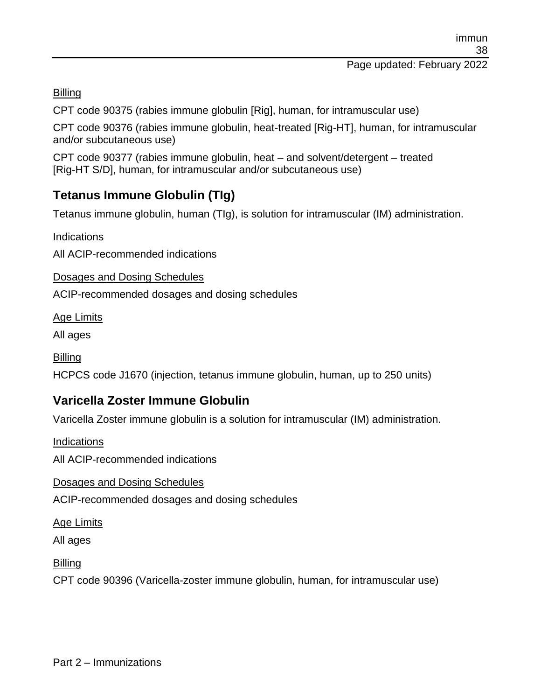#### Page updated: February 2022

**Billing** 

CPT code 90375 (rabies immune globulin [Rig], human, for intramuscular use)

CPT code 90376 (rabies immune globulin, heat-treated [Rig-HT], human, for intramuscular and/or subcutaneous use)

CPT code 90377 (rabies immune globulin, heat – and solvent/detergent – treated [Rig-HT S/D], human, for intramuscular and/or subcutaneous use)

## **Tetanus Immune Globulin (TIg)**

Tetanus immune globulin, human (TIg), is solution for intramuscular (IM) administration.

Indications

All ACIP-recommended indications

Dosages and Dosing Schedules

ACIP-recommended dosages and dosing schedules

Age Limits

All ages

**Billing** 

HCPCS code J1670 (injection, tetanus immune globulin, human, up to 250 units)

## **Varicella Zoster Immune Globulin**

Varicella Zoster immune globulin is a solution for intramuscular (IM) administration.

Indications

All ACIP-recommended indications

Dosages and Dosing Schedules

ACIP-recommended dosages and dosing schedules

Age Limits

All ages

**Billing** 

CPT code 90396 (Varicella-zoster immune globulin, human, for intramuscular use)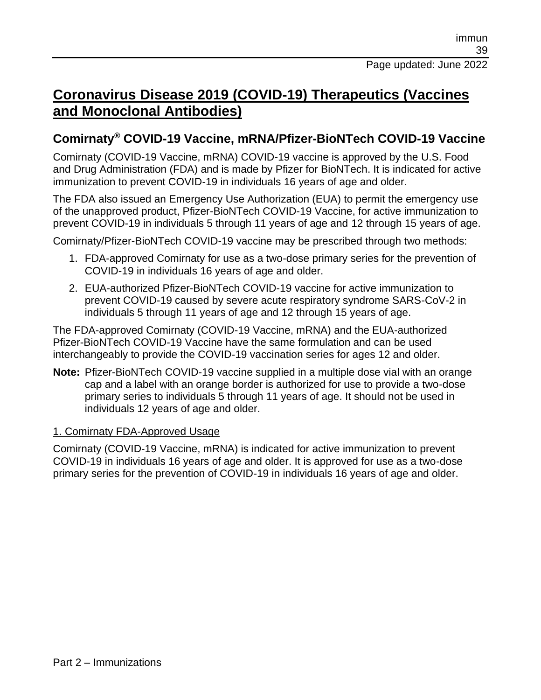## **Coronavirus Disease 2019 (COVID-19) Therapeutics (Vaccines and Monoclonal Antibodies)**

#### **Comirnaty® COVID-19 Vaccine, mRNA/Pfizer-BioNTech COVID-19 Vaccine**

Comirnaty (COVID-19 Vaccine, mRNA) COVID-19 vaccine is approved by the U.S. Food and Drug Administration (FDA) and is made by Pfizer for BioNTech. It is indicated for active immunization to prevent COVID-19 in individuals 16 years of age and older.

The FDA also issued an Emergency Use Authorization (EUA) to permit the emergency use of the unapproved product, Pfizer-BioNTech COVID-19 Vaccine, for active immunization to prevent COVID-19 in individuals 5 through 11 years of age and 12 through 15 years of age.

Comirnaty/Pfizer-BioNTech COVID-19 vaccine may be prescribed through two methods:

- 1. FDA-approved Comirnaty for use as a two-dose primary series for the prevention of COVID-19 in individuals 16 years of age and older.
- 2. EUA-authorized Pfizer-BioNTech COVID-19 vaccine for active immunization to prevent COVID-19 caused by severe acute respiratory syndrome SARS-CoV-2 in individuals 5 through 11 years of age and 12 through 15 years of age.

The FDA-approved Comirnaty (COVID-19 Vaccine, mRNA) and the EUA-authorized Pfizer-BioNTech COVID-19 Vaccine have the same formulation and can be used interchangeably to provide the COVID-19 vaccination series for ages 12 and older.

**Note:** Pfizer-BioNTech COVID-19 vaccine supplied in a multiple dose vial with an orange cap and a label with an orange border is authorized for use to provide a two-dose primary series to individuals 5 through 11 years of age. It should not be used in individuals 12 years of age and older.

#### 1. Comirnaty FDA-Approved Usage

Comirnaty (COVID-19 Vaccine, mRNA) is indicated for active immunization to prevent COVID-19 in individuals 16 years of age and older. It is approved for use as a two-dose primary series for the prevention of COVID-19 in individuals 16 years of age and older.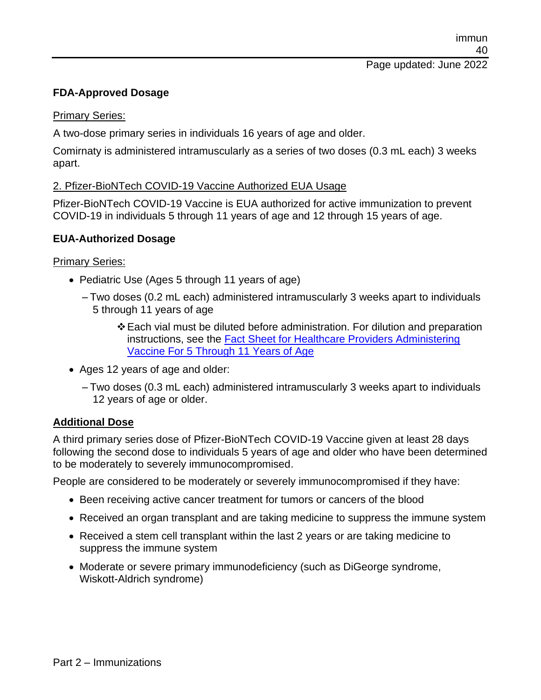## **FDA-Approved Dosage**

#### Primary Series:

A two-dose primary series in individuals 16 years of age and older.

Comirnaty is administered intramuscularly as a series of two doses (0.3 mL each) 3 weeks apart.

#### 2. Pfizer-BioNTech COVID-19 Vaccine Authorized EUA Usage

Pfizer-BioNTech COVID-19 Vaccine is EUA authorized for active immunization to prevent COVID-19 in individuals 5 through 11 years of age and 12 through 15 years of age.

#### **EUA-Authorized Dosage**

#### Primary Series:

- Pediatric Use (Ages 5 through 11 years of age)
	- Two doses (0.2 mL each) administered intramuscularly 3 weeks apart to individuals 5 through 11 years of age
		- ❖Each vial must be diluted before administration. For dilution and preparation instructions, see the [Fact Sheet for Healthcare Providers Administering](https://www.fda.gov/media/153714/download)  [Vaccine For 5 Through 11 Years of Age](https://www.fda.gov/media/153714/download)
- Ages 12 years of age and older:
	- Two doses (0.3 mL each) administered intramuscularly 3 weeks apart to individuals 12 years of age or older.

#### **Additional Dose**

A third primary series dose of Pfizer-BioNTech COVID-19 Vaccine given at least 28 days following the second dose to individuals 5 years of age and older who have been determined to be moderately to severely immunocompromised.

People are considered to be moderately or severely immunocompromised if they have:

- Been receiving active cancer treatment for tumors or cancers of the blood
- Received an organ transplant and are taking medicine to suppress the immune system
- Received a stem cell transplant within the last 2 years or are taking medicine to suppress the immune system
- Moderate or severe primary immunodeficiency (such as DiGeorge syndrome, Wiskott-Aldrich syndrome)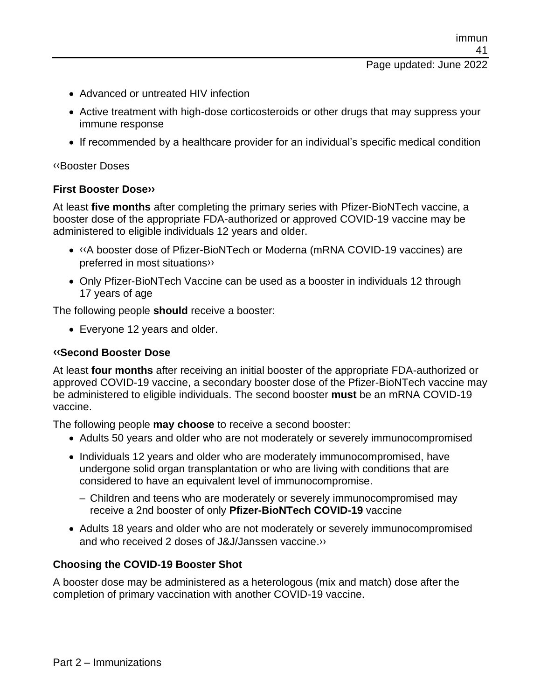- Advanced or untreated HIV infection
- Active treatment with high-dose corticosteroids or other drugs that may suppress your immune response
- If recommended by a healthcare provider for an individual's specific medical condition

#### [‹‹B](#page-59-0)ooster Doses

#### **First Booster Dos[e››](#page-59-1)**

At least **five months** after completing the primary series with Pfizer-BioNTech vaccine, a booster dose of the appropriate FDA-authorized or approved COVID-19 vaccine may be administered to eligible individuals 12 years and older.

- [‹‹A](#page-59-0) booster dose of Pfizer-BioNTech or Moderna (mRNA COVID-19 vaccines) are preferred in most situation[s››](#page-59-1)
- Only Pfizer-BioNTech Vaccine can be used as a booster in individuals 12 through 17 years of age

The following people **should** receive a booster:

• Everyone 12 years and older.

#### **[‹‹S](#page-59-0)econd Booster Dose**

At least **four months** after receiving an initial booster of the appropriate FDA-authorized or approved COVID-19 vaccine, a secondary booster dose of the Pfizer-BioNTech vaccine may be administered to eligible individuals. The second booster **must** be an mRNA COVID-19 vaccine.

The following people **may choose** to receive a second booster:

- Adults 50 years and older who are not moderately or severely immunocompromised
- Individuals 12 years and older who are moderately immunocompromised, have undergone solid organ transplantation or who are living with conditions that are considered to have an equivalent level of immunocompromise.
	- Children and teens who are moderately or severely immunocompromised may receive a 2nd booster of only **Pfizer-BioNTech COVID-19** vaccine
- Adults 18 years and older who are not moderately or severely immunocompromised and who received 2 doses of J&J/Janssen vaccine[.››](#page-59-1)

#### **Choosing the COVID-19 Booster Shot**

A booster dose may be administered as a heterologous (mix and match) dose after the completion of primary vaccination with another COVID-19 vaccine.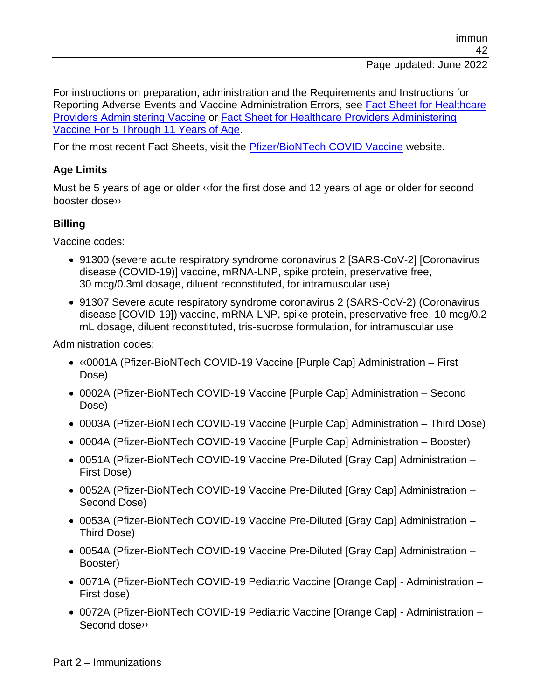For instructions on preparation, administration and the Requirements and Instructions for Reporting Adverse Events and Vaccine Administration Errors, see [Fact Sheet for Healthcare](https://www.fda.gov/media/144413/download)  [Providers Administering Vaccine](https://www.fda.gov/media/144413/download) or [Fact Sheet for Healthcare Providers Administering](https://www.fda.gov/media/153714/download)  [Vaccine For 5 Through 11 Years of Age.](https://www.fda.gov/media/153714/download)

For the most recent Fact Sheets, visit the [Pfizer/BioNTech COVID Vaccine](http://www.cvdvaccine.com/) website.

#### **Age Limits**

Must be 5 years of age or older [‹‹f](#page-59-0)or the first dose and 12 years of age or older for second booster dos[e››](#page-59-1)

#### **Billing**

Vaccine codes:

- 91300 (severe acute respiratory syndrome coronavirus 2 [SARS-CoV-2] [Coronavirus disease (COVID-19)] vaccine, mRNA-LNP, spike protein, preservative free, 30 mcg/0.3ml dosage, diluent reconstituted, for intramuscular use)
- 91307 Severe acute respiratory syndrome coronavirus 2 (SARS-CoV-2) (Coronavirus disease [COVID-19]) vaccine, mRNA-LNP, spike protein, preservative free, 10 mcg/0.2 mL dosage, diluent reconstituted, tris-sucrose formulation, for intramuscular use

Administration codes:

- [‹‹0](#page-59-0)001A (Pfizer-BioNTech COVID-19 Vaccine [Purple Cap] Administration First Dose)
- 0002A (Pfizer-BioNTech COVID-19 Vaccine [Purple Cap] Administration Second Dose)
- 0003A (Pfizer-BioNTech COVID-19 Vaccine [Purple Cap] Administration Third Dose)
- 0004A (Pfizer-BioNTech COVID-19 Vaccine [Purple Cap] Administration Booster)
- 0051A (Pfizer-BioNTech COVID-19 Vaccine Pre-Diluted [Gray Cap] Administration First Dose)
- 0052A (Pfizer-BioNTech COVID-19 Vaccine Pre-Diluted [Gray Cap] Administration Second Dose)
- 0053A (Pfizer-BioNTech COVID-19 Vaccine Pre-Diluted [Gray Cap] Administration Third Dose)
- 0054A (Pfizer-BioNTech COVID-19 Vaccine Pre-Diluted [Gray Cap] Administration Booster)
- 0071A (Pfizer-BioNTech COVID-19 Pediatric Vaccine [Orange Cap] Administration First dose)
- 0072A (Pfizer-BioNTech COVID-19 Pediatric Vaccine [Orange Cap] Administration Second dos[e››](#page-59-1)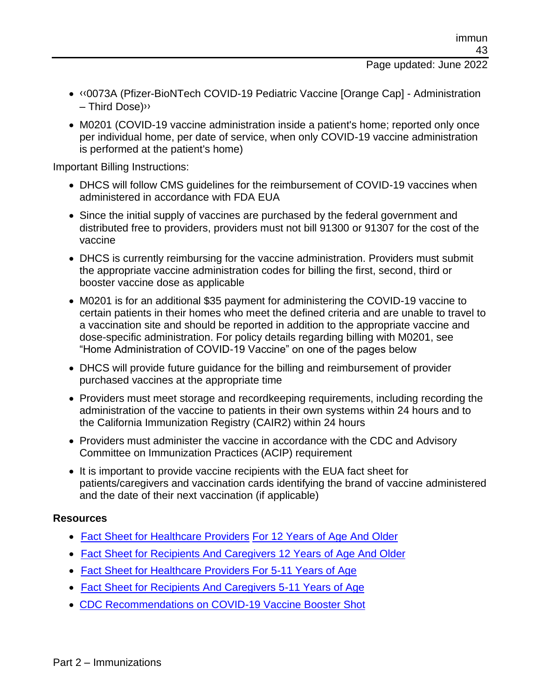- [‹‹0](#page-59-0)073A (Pfizer-BioNTech COVID-19 Pediatric Vaccine [Orange Cap] Administration – Third Dose[\)››](#page-59-1)
- M0201 (COVID-19 vaccine administration inside a patient's home; reported only once per individual home, per date of service, when only COVID-19 vaccine administration is performed at the patient's home)

Important Billing Instructions:

- DHCS will follow CMS guidelines for the reimbursement of COVID-19 vaccines when administered in accordance with FDA EUA
- Since the initial supply of vaccines are purchased by the federal government and distributed free to providers, providers must not bill 91300 or 91307 for the cost of the vaccine
- DHCS is currently reimbursing for the vaccine administration. Providers must submit the appropriate vaccine administration codes for billing the first, second, third or booster vaccine dose as applicable
- M0201 is for an additional \$35 payment for administering the COVID-19 vaccine to certain patients in their homes who meet the defined criteria and are unable to travel to a vaccination site and should be reported in addition to the appropriate vaccine and dose-specific administration. For policy details regarding billing with M0201, see "Home Administration of COVID-19 Vaccine" on one of the pages below
- DHCS will provide future guidance for the billing and reimbursement of provider purchased vaccines at the appropriate time
- Providers must meet storage and recordkeeping requirements, including recording the administration of the vaccine to patients in their own systems within 24 hours and to the California Immunization Registry (CAIR2) within 24 hours
- Providers must administer the vaccine in accordance with the CDC and Advisory Committee on Immunization Practices (ACIP) requirement
- It is important to provide vaccine recipients with the EUA fact sheet for patients/caregivers and vaccination cards identifying the brand of vaccine administered and the date of their next vaccination (if applicable)

#### **Resources**

- [Fact Sheet for Healthcare Providers](https://www.fda.gov/media/153713/download) [For 12 Years of Age And Older](https://www.fda.gov/media/153713/download)
- [Fact Sheet for Recipients And Caregivers 12 Years of Age And Older](https://www.fda.gov/media/153716/download)
- [Fact Sheet for Healthcare Providers For 5-11 Years of Age](https://www.fda.gov/media/153714/download)
- [Fact Sheet for Recipients And Caregivers 5-11 Years of Age](https://www.fda.gov/media/153717/download)
- [CDC Recommendations on COVID-19 Vaccine Booster Shot](https://www.cdc.gov/coronavirus/2019-ncov/vaccines/booster-shot.html)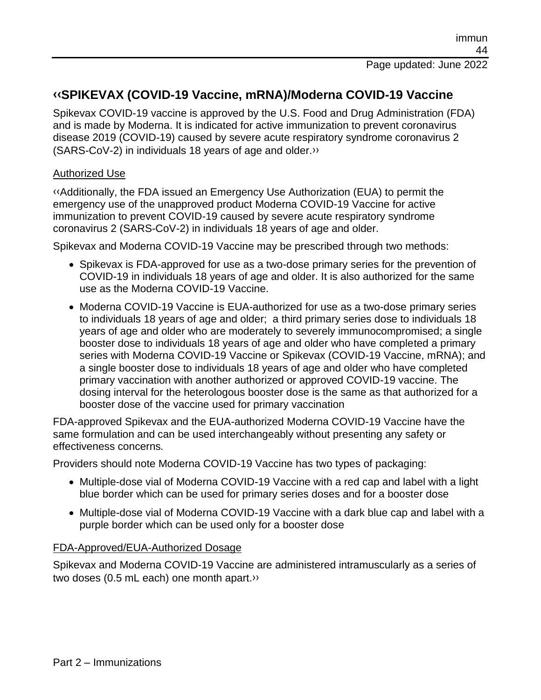#### **[‹‹S](#page-59-0)PIKEVAX (COVID-19 Vaccine, mRNA)/Moderna COVID-19 Vaccine**

Spikevax COVID-19 vaccine is approved by the U.S. Food and Drug Administration (FDA) and is made by Moderna. It is indicated for active immunization to prevent coronavirus disease 2019 (COVID-19) caused by severe acute respiratory syndrome coronavirus 2 (SARS-CoV-2) in individuals 18 years of age and older[.››](#page-59-1)

#### Authorized Use

[‹‹A](#page-59-0)dditionally, the FDA issued an Emergency Use Authorization (EUA) to permit the emergency use of the unapproved product Moderna COVID-19 Vaccine for active immunization to prevent COVID-19 caused by severe acute respiratory syndrome coronavirus 2 (SARS-CoV-2) in individuals 18 years of age and older.

Spikevax and Moderna COVID-19 Vaccine may be prescribed through two methods:

- Spikevax is FDA-approved for use as a two-dose primary series for the prevention of COVID-19 in individuals 18 years of age and older. It is also authorized for the same use as the Moderna COVID-19 Vaccine.
- Moderna COVID-19 Vaccine is EUA-authorized for use as a two-dose primary series to individuals 18 years of age and older; a third primary series dose to individuals 18 years of age and older who are moderately to severely immunocompromised; a single booster dose to individuals 18 years of age and older who have completed a primary series with Moderna COVID-19 Vaccine or Spikevax (COVID-19 Vaccine, mRNA); and a single booster dose to individuals 18 years of age and older who have completed primary vaccination with another authorized or approved COVID-19 vaccine. The dosing interval for the heterologous booster dose is the same as that authorized for a booster dose of the vaccine used for primary vaccination

FDA-approved Spikevax and the EUA-authorized Moderna COVID-19 Vaccine have the same formulation and can be used interchangeably without presenting any safety or effectiveness concerns*.*

Providers should note Moderna COVID-19 Vaccine has two types of packaging:

- Multiple-dose vial of Moderna COVID-19 Vaccine with a red cap and label with a light blue border which can be used for primary series doses and for a booster dose
- Multiple-dose vial of Moderna COVID-19 Vaccine with a dark blue cap and label with a purple border which can be used only for a booster dose

#### FDA-Approved/EUA-Authorized Dosage

Spikevax and Moderna COVID-19 Vaccine are administered intramuscularly as a series of two doses (0.5 mL each) one month apart[.››](#page-59-1)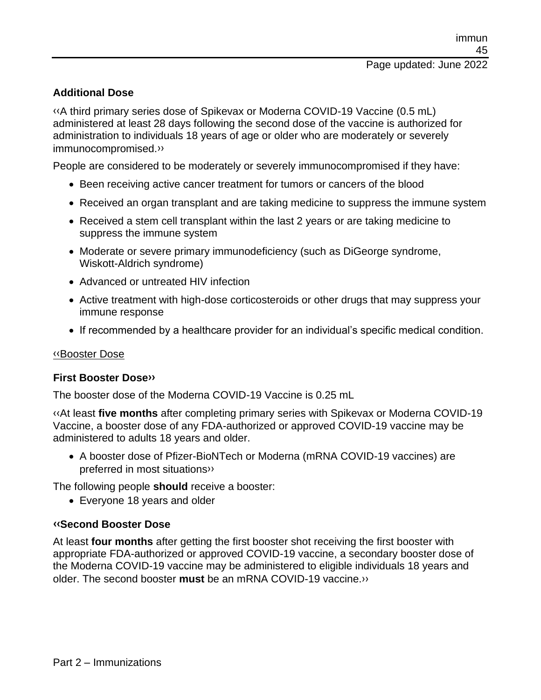#### **Additional Dose**

[‹‹A](#page-59-0) third primary series dose of Spikevax or Moderna COVID-19 Vaccine (0.5 mL) administered at least 28 days following the second dose of the vaccine is authorized for administration to individuals 18 years of age or older who are moderately or severely immunocompromised[.››](#page-59-1)

People are considered to be moderately or severely immunocompromised if they have:

- Been receiving active cancer treatment for tumors or cancers of the blood
- Received an organ transplant and are taking medicine to suppress the immune system
- Received a stem cell transplant within the last 2 years or are taking medicine to suppress the immune system
- Moderate or severe primary immunodeficiency (such as DiGeorge syndrome, Wiskott-Aldrich syndrome)
- Advanced or untreated HIV infection
- Active treatment with high-dose corticosteroids or other drugs that may suppress your immune response
- If recommended by a healthcare provider for an individual's specific medical condition.

#### [‹‹B](#page-59-0)ooster Dose

#### **First Booster Dos[e››](#page-59-1)**

The booster dose of the Moderna COVID-19 Vaccine is 0.25 mL

[‹‹A](#page-59-0)t least **five months** after completing primary series with Spikevax or Moderna COVID-19 Vaccine, a booster dose of any FDA-authorized or approved COVID-19 vaccine may be administered to adults 18 years and older.

• A booster dose of Pfizer-BioNTech or Moderna (mRNA COVID-19 vaccines) are preferred in most situation[s››](#page-59-1)

The following people **should** receive a booster:

• Everyone 18 years and older

#### **[‹‹S](#page-59-0)econd Booster Dose**

At least **four months** after getting the first booster shot receiving the first booster with appropriate FDA-authorized or approved COVID-19 vaccine, a secondary booster dose of the Moderna COVID-19 vaccine may be administered to eligible individuals 18 years and older. The second booster **must** be an mRNA COVID-19 vaccine[.››](#page-59-1)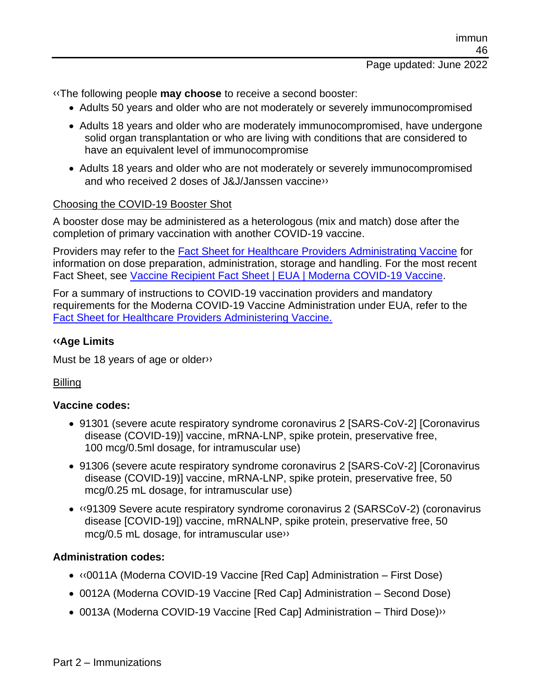[‹‹T](#page-59-0)he following people **may choose** to receive a second booster:

- Adults 50 years and older who are not moderately or severely immunocompromised
- Adults 18 years and older who are moderately immunocompromised, have undergone solid organ transplantation or who are living with conditions that are considered to have an equivalent level of immunocompromise
- Adults 18 years and older who are not moderately or severely immunocompromised and who received 2 doses of J&J/Janssen vaccin[e››](#page-59-1)

#### Choosing the COVID-19 Booster Shot

A booster dose may be administered as a heterologous (mix and match) dose after the completion of primary vaccination with another COVID-19 vaccine.

Providers may refer to the [Fact Sheet for Healthcare Providers Administrating Vaccine](https://www.fda.gov/media/144637/download) for information on dose preparation, administration, storage and handling. For the most recent Fact Sheet, see [Vaccine Recipient Fact Sheet | EUA | Moderna COVID-19 Vaccine.](https://www.modernatx.com/covid19vaccine-eua/)

For a summary of instructions to COVID-19 vaccination providers and mandatory requirements for the Moderna COVID-19 Vaccine Administration under EUA, refer to the [Fact Sheet for Healthcare Providers Administering Vaccine.](https://www.fda.gov/media/144637/download)

#### **[‹‹A](#page-59-0)ge Limits**

Must be 18 years of age or olde[r››](#page-59-1)

#### Billing

#### **Vaccine codes:**

- 91301 (severe acute respiratory syndrome coronavirus 2 [SARS-CoV-2] [Coronavirus disease (COVID-19)] vaccine, mRNA-LNP, spike protein, preservative free, 100 mcg/0.5ml dosage, for intramuscular use)
- 91306 (severe acute respiratory syndrome coronavirus 2 [SARS-CoV-2] [Coronavirus disease (COVID-19)] vaccine, mRNA-LNP, spike protein, preservative free, 50 mcg/0.25 mL dosage, for intramuscular use)
- [‹‹9](#page-59-0)1309 Severe acute respiratory syndrome coronavirus 2 (SARSCoV-2) (coronavirus disease [COVID-19]) vaccine, mRNALNP, spike protein, preservative free, 50 mcg/0.5 mL dosage, for intramuscular us[e››](#page-59-1)

#### **Administration codes:**

- [‹‹0](#page-59-0)011A (Moderna COVID-19 Vaccine [Red Cap] Administration First Dose)
- 0012A (Moderna COVID-19 Vaccine [Red Cap] Administration Second Dose)
- 0013A (Moderna COVID-19 Vaccine [Red Cap] Administration Third Dose)<sup>>></sup>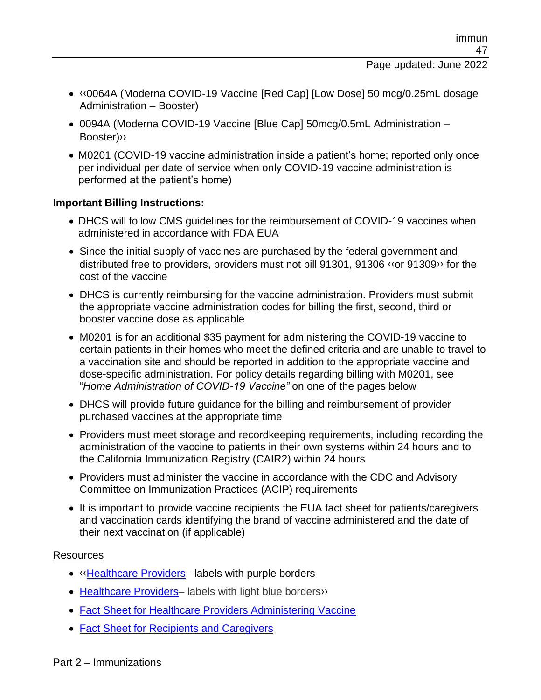- [‹‹0](#page-59-0)064A (Moderna COVID-19 Vaccine [Red Cap] [Low Dose] 50 mcg/0.25mL dosage Administration – Booster)
- 0094A (Moderna COVID-19 Vaccine [Blue Cap] 50mcg/0.5mL Administration Booster[\)››](#page-59-1)
- M0201 (COVID-19 vaccine administration inside a patient's home; reported only once per individual per date of service when only COVID-19 vaccine administration is performed at the patient's home)

#### **Important Billing Instructions:**

- DHCS will follow CMS guidelines for the reimbursement of COVID-19 vaccines when administered in accordance with FDA EUA
- Since the initial supply of vaccines are purchased by the federal government and distributed free to providers, providers must not bill 91301, 91306 [‹‹o](#page-59-0)r 9130[9››](#page-59-1) for the cost of the vaccine
- DHCS is currently reimbursing for the vaccine administration. Providers must submit the appropriate vaccine administration codes for billing the first, second, third or booster vaccine dose as applicable
- M0201 is for an additional \$35 payment for administering the COVID-19 vaccine to certain patients in their homes who meet the defined criteria and are unable to travel to a vaccination site and should be reported in addition to the appropriate vaccine and dose-specific administration. For policy details regarding billing with M0201, see "*Home Administration of COVID-19 Vaccine"* on one of the pages below
- DHCS will provide future guidance for the billing and reimbursement of provider purchased vaccines at the appropriate time
- Providers must meet storage and recordkeeping requirements, including recording the administration of the vaccine to patients in their own systems within 24 hours and to the California Immunization Registry (CAIR2) within 24 hours
- Providers must administer the vaccine in accordance with the CDC and Advisory Committee on Immunization Practices (ACIP) requirements
- It is important to provide vaccine recipients the EUA fact sheet for patients/caregivers and vaccination cards identifying the brand of vaccine administered and the date of their next vaccination (if applicable)

#### Resources

- [‹‹](#page-59-0)[Healthcare Providers–](https://www.fda.gov/media/157232/download) labels with purple borders
- [Healthcare Providers–](https://www.fda.gov/media/157233/download) labels with light blue borders»
- [Fact Sheet for Healthcare Providers Administering Vaccine](https://www.fda.gov/media/144637/download)
- [Fact Sheet for Recipients and Caregivers](https://www.fda.gov/media/144638/download)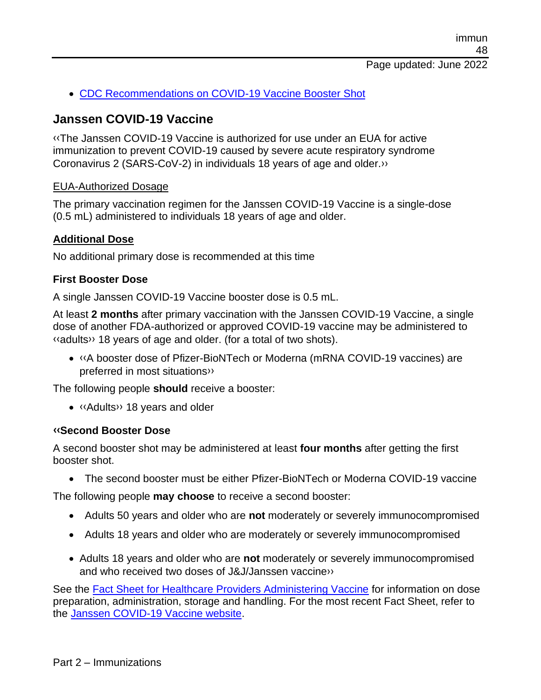• [CDC Recommendations on COVID-19 Vaccine Booster Shot](https://www.cdc.gov/coronavirus/2019-ncov/vaccines/booster-shot.html)

#### **Janssen COVID-19 Vaccine**

[‹‹T](#page-59-0)he Janssen COVID-19 Vaccine is authorized for use under an EUA for active immunization to prevent COVID-19 caused by severe acute respiratory syndrome Coronavirus 2 (SARS-CoV-2) in individuals 18 years of age and older[.››](#page-59-1)

#### EUA-Authorized Dosage

The primary vaccination regimen for the Janssen COVID-19 Vaccine is a single-dose (0.5 mL) administered to individuals 18 years of age and older.

#### **Additional Dose**

No additional primary dose is recommended at this time

#### **First Booster Dose**

A single Janssen COVID-19 Vaccine booster dose is 0.5 mL.

At least **2 months** after primary vaccination with the Janssen COVID-19 Vaccine, a single dose of another FDA-authorized or approved COVID-19 vaccine may be administered to [‹‹a](#page-59-0)dult[s››](#page-59-1) 18 years of age and older. (for a total of two shots).

• [‹‹A](#page-59-0) booster dose of Pfizer-BioNTech or Moderna (mRNA COVID-19 vaccines) are preferred in most situation[s››](#page-59-1)

The following people **should** receive a booster:

• [‹‹A](#page-59-0)dult[s››](#page-59-1) 18 years and older

#### **[‹‹S](#page-59-0)econd Booster Dose**

A second booster shot may be administered at least **four months** after getting the first booster shot.

• The second booster must be either Pfizer-BioNTech or Moderna COVID-19 vaccine

The following people **may choose** to receive a second booster:

- Adults 50 years and older who are **not** moderately or severely immunocompromised
- Adults 18 years and older who are moderately or severely immunocompromised
- Adults 18 years and older who are **not** moderately or severely immunocompromised and who received two doses of J&J/Janssen vaccin[e››](#page-59-1)

See the [Fact Sheet for Healthcare Providers Administering Vaccine](https://www.fda.gov/media/146304/download) for information on dose preparation, administration, storage and handling. For the most recent Fact Sheet, refer to the [Janssen COVID-19 Vaccine website.](http://www.janssencovid19vaccine.com/)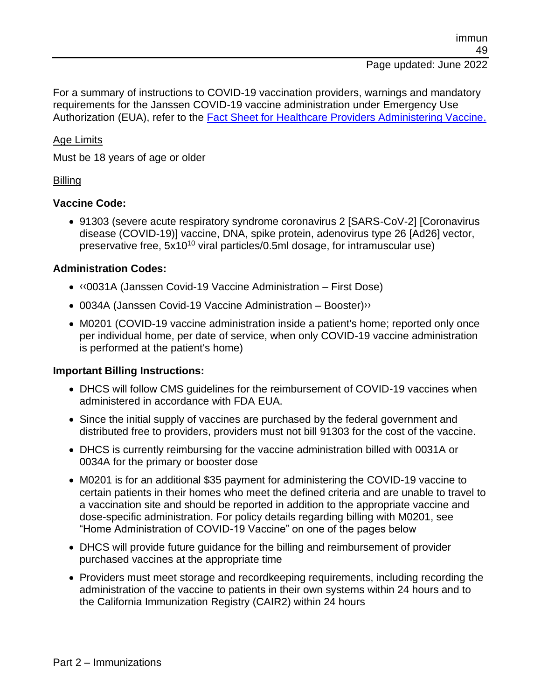For a summary of instructions to COVID-19 vaccination providers, warnings and mandatory requirements for the Janssen COVID-19 vaccine administration under Emergency Use Authorization (EUA), refer to the [Fact Sheet for Healthcare Providers Administering Vaccine.](https://www.fda.gov/media/146304/download)

#### Age Limits

Must be 18 years of age or older

#### **Billing**

#### **Vaccine Code:**

• 91303 (severe acute respiratory syndrome coronavirus 2 [SARS-CoV-2] [Coronavirus disease (COVID-19)] vaccine, DNA, spike protein, adenovirus type 26 [Ad26] vector, preservative free, 5x10<sup>10</sup> viral particles/0.5ml dosage, for intramuscular use)

#### **Administration Codes:**

- [‹‹0](#page-59-0)031A (Janssen Covid-19 Vaccine Administration First Dose)
- 0034A (Janssen Covid-19 Vaccine Administration Booster) »
- M0201 (COVID-19 vaccine administration inside a patient's home; reported only once per individual home, per date of service, when only COVID-19 vaccine administration is performed at the patient's home)

#### **Important Billing Instructions:**

- DHCS will follow CMS guidelines for the reimbursement of COVID-19 vaccines when administered in accordance with FDA EUA.
- Since the initial supply of vaccines are purchased by the federal government and distributed free to providers, providers must not bill 91303 for the cost of the vaccine.
- DHCS is currently reimbursing for the vaccine administration billed with 0031A or 0034A for the primary or booster dose
- M0201 is for an additional \$35 payment for administering the COVID-19 vaccine to certain patients in their homes who meet the defined criteria and are unable to travel to a vaccination site and should be reported in addition to the appropriate vaccine and dose-specific administration. For policy details regarding billing with M0201, see "Home Administration of COVID-19 Vaccine" on one of the pages below
- DHCS will provide future guidance for the billing and reimbursement of provider purchased vaccines at the appropriate time
- Providers must meet storage and recordkeeping requirements, including recording the administration of the vaccine to patients in their own systems within 24 hours and to the California Immunization Registry (CAIR2) within 24 hours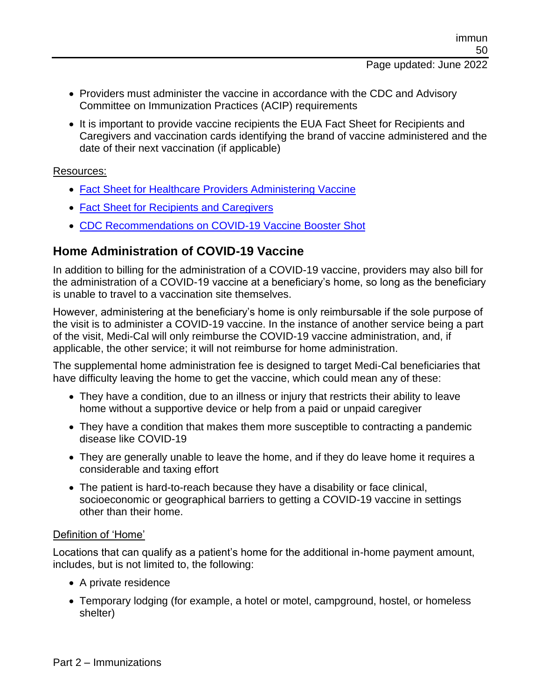- Providers must administer the vaccine in accordance with the CDC and Advisory Committee on Immunization Practices (ACIP) requirements
- It is important to provide vaccine recipients the EUA Fact Sheet for Recipients and Caregivers and vaccination cards identifying the brand of vaccine administered and the date of their next vaccination (if applicable)

#### Resources:

- [Fact Sheet for Healthcare Providers Administering Vaccine](https://www.fda.gov/media/146304/download)
- [Fact Sheet for Recipients and Caregivers](https://www.fda.gov/media/146305/download)
- [CDC Recommendations on COVID-19 Vaccine](https://www.cdc.gov/coronavirus/2019-ncov/vaccines/booster-shot.html) Booster Shot

#### **Home Administration of COVID-19 Vaccine**

In addition to billing for the administration of a COVID-19 vaccine, providers may also bill for the administration of a COVID-19 vaccine at a beneficiary's home, so long as the beneficiary is unable to travel to a vaccination site themselves.

However, administering at the beneficiary's home is only reimbursable if the sole purpose of the visit is to administer a COVID-19 vaccine. In the instance of another service being a part of the visit, Medi-Cal will only reimburse the COVID-19 vaccine administration, and, if applicable, the other service; it will not reimburse for home administration.

The supplemental home administration fee is designed to target Medi-Cal beneficiaries that have difficulty leaving the home to get the vaccine, which could mean any of these:

- They have a condition, due to an illness or injury that restricts their ability to leave home without a supportive device or help from a paid or unpaid caregiver
- They have a condition that makes them more susceptible to contracting a pandemic disease like COVID-19
- They are generally unable to leave the home, and if they do leave home it requires a considerable and taxing effort
- The patient is hard-to-reach because they have a disability or face clinical, socioeconomic or geographical barriers to getting a COVID-19 vaccine in settings other than their home.

#### Definition of 'Home'

Locations that can qualify as a patient's home for the additional in-home payment amount, includes, but is not limited to, the following:

- A private residence
- Temporary lodging (for example, a hotel or motel, campground, hostel, or homeless shelter)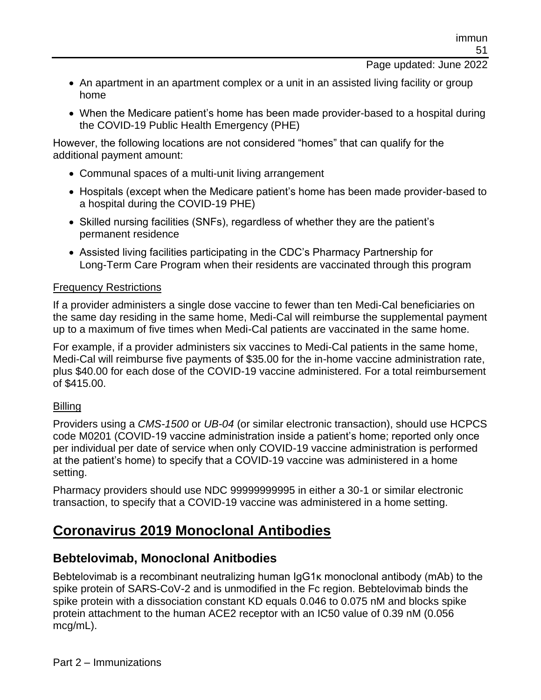- An apartment in an apartment complex or a unit in an assisted living facility or group home
- When the Medicare patient's home has been made provider-based to a hospital during the COVID-19 Public Health Emergency (PHE)

However, the following locations are not considered "homes" that can qualify for the additional payment amount:

- Communal spaces of a multi-unit living arrangement
- Hospitals (except when the Medicare patient's home has been made provider-based to a hospital during the COVID-19 PHE)
- Skilled nursing facilities (SNFs), regardless of whether they are the patient's permanent residence
- Assisted living facilities participating in the CDC's Pharmacy Partnership for Long-Term Care Program when their residents are vaccinated through this program

#### Frequency Restrictions

If a provider administers a single dose vaccine to fewer than ten Medi-Cal beneficiaries on the same day residing in the same home, Medi-Cal will reimburse the supplemental payment up to a maximum of five times when Medi-Cal patients are vaccinated in the same home.

For example, if a provider administers six vaccines to Medi-Cal patients in the same home, Medi-Cal will reimburse five payments of \$35.00 for the in-home vaccine administration rate, plus \$40.00 for each dose of the COVID-19 vaccine administered. For a total reimbursement of \$415.00.

#### **Billing**

Providers using a *CMS-1500* or *UB-04* (or similar electronic transaction), should use HCPCS code M0201 (COVID-19 vaccine administration inside a patient's home; reported only once per individual per date of service when only COVID-19 vaccine administration is performed at the patient's home) to specify that a COVID-19 vaccine was administered in a home setting.

Pharmacy providers should use NDC 99999999995 in either a 30-1 or similar electronic transaction, to specify that a COVID-19 vaccine was administered in a home setting.

# **Coronavirus 2019 Monoclonal Antibodies**

#### **Bebtelovimab, Monoclonal Anitbodies**

Bebtelovimab is a recombinant neutralizing human IgG1κ monoclonal antibody (mAb) to the spike protein of SARS-CoV-2 and is unmodified in the Fc region. Bebtelovimab binds the spike protein with a dissociation constant KD equals 0.046 to 0.075 nM and blocks spike protein attachment to the human ACE2 receptor with an IC50 value of 0.39 nM (0.056 mcg/mL).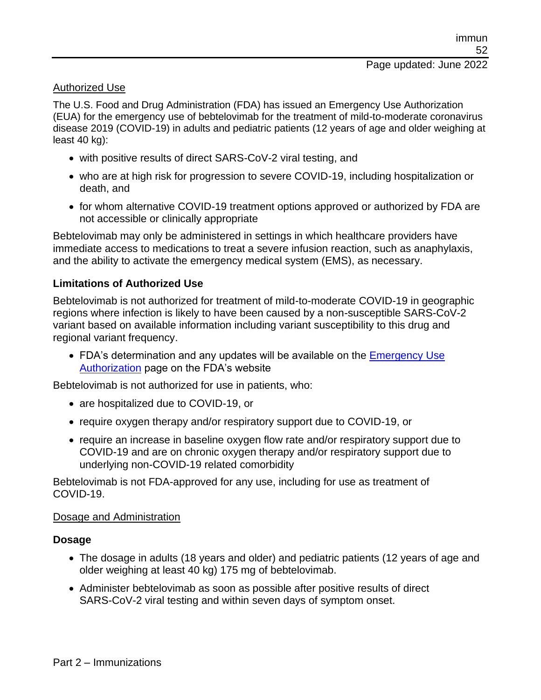#### Authorized Use

The U.S. Food and Drug Administration (FDA) has issued an Emergency Use Authorization (EUA) for the emergency use of bebtelovimab for the treatment of mild-to-moderate coronavirus disease 2019 (COVID-19) in adults and pediatric patients (12 years of age and older weighing at least 40 kg):

- with positive results of direct SARS-CoV-2 viral testing, and
- who are at high risk for progression to severe COVID-19, including hospitalization or death, and
- for whom alternative COVID-19 treatment options approved or authorized by FDA are not accessible or clinically appropriate

Bebtelovimab may only be administered in settings in which healthcare providers have immediate access to medications to treat a severe infusion reaction, such as anaphylaxis, and the ability to activate the emergency medical system (EMS), as necessary.

#### **Limitations of Authorized Use**

Bebtelovimab is not authorized for treatment of mild-to-moderate COVID-19 in geographic regions where infection is likely to have been caused by a non-susceptible SARS-CoV-2 variant based on available information including variant susceptibility to this drug and regional variant frequency.

• FDA's determination and any updates will be available on the Emergency Use [Authorization](https://www.fda.gov/emergency-preparedness-and-response/mcm-legal-regulatory-and-policy-framework/emergency-use-authorization#coviddrugs) page on the FDA's website

Bebtelovimab is not authorized for use in patients, who:

- are hospitalized due to COVID-19, or
- require oxygen therapy and/or respiratory support due to COVID-19, or
- require an increase in baseline oxygen flow rate and/or respiratory support due to COVID-19 and are on chronic oxygen therapy and/or respiratory support due to underlying non-COVID-19 related comorbidity

Bebtelovimab is not FDA-approved for any use, including for use as treatment of COVID-19.

#### Dosage and Administration

#### **Dosage**

- The dosage in adults (18 years and older) and pediatric patients (12 years of age and older weighing at least 40 kg) 175 mg of bebtelovimab.
- Administer bebtelovimab as soon as possible after positive results of direct SARS-CoV-2 viral testing and within seven days of symptom onset.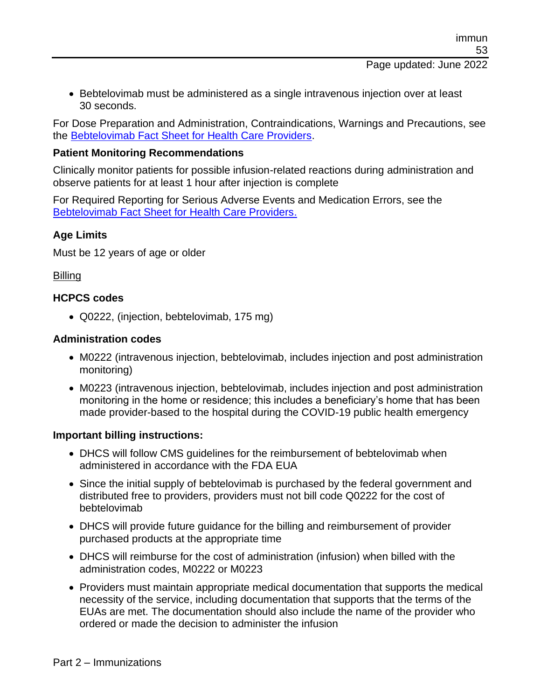• Bebtelovimab must be administered as a single intravenous injection over at least 30 seconds.

For Dose Preparation and Administration, Contraindications, Warnings and Precautions, see the [Bebtelovimab Fact Sheet for Health Care Providers.](https://pi.lilly.com/eua/bebtelovimab-eua-factsheet-hcp.pdf)

#### **Patient Monitoring Recommendations**

Clinically monitor patients for possible infusion-related reactions during administration and observe patients for at least 1 hour after injection is complete

For Required Reporting for Serious Adverse Events and Medication Errors, see the [Bebtelovimab Fact Sheet for Health Care Providers.](https://pi.lilly.com/eua/bebtelovimab-eua-factsheet-hcp.pdf)

#### **Age Limits**

Must be 12 years of age or older

#### Billing

#### **HCPCS codes**

• Q0222, (injection, bebtelovimab, 175 mg)

#### **Administration codes**

- M0222 (intravenous injection, bebtelovimab, includes injection and post administration monitoring)
- M0223 (intravenous injection, bebtelovimab, includes injection and post administration monitoring in the home or residence; this includes a beneficiary's home that has been made provider-based to the hospital during the COVID-19 public health emergency

#### **Important billing instructions:**

- DHCS will follow CMS guidelines for the reimbursement of bebtelovimab when administered in accordance with the FDA EUA
- Since the initial supply of bebtelovimab is purchased by the federal government and distributed free to providers, providers must not bill code Q0222 for the cost of bebtelovimab
- DHCS will provide future guidance for the billing and reimbursement of provider purchased products at the appropriate time
- DHCS will reimburse for the cost of administration (infusion) when billed with the administration codes, M0222 or M0223
- Providers must maintain appropriate medical documentation that supports the medical necessity of the service, including documentation that supports that the terms of the EUAs are met. The documentation should also include the name of the provider who ordered or made the decision to administer the infusion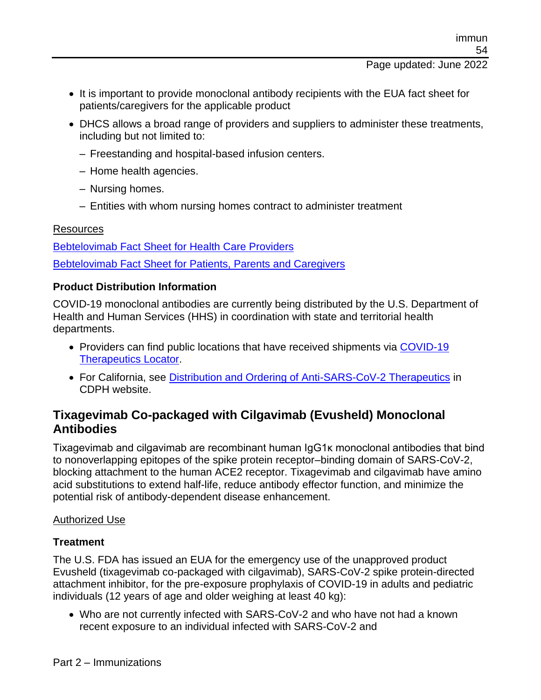- It is important to provide monoclonal antibody recipients with the EUA fact sheet for patients/caregivers for the applicable product
- DHCS allows a broad range of providers and suppliers to administer these treatments, including but not limited to:
	- Freestanding and hospital-based infusion centers.
	- Home health agencies.
	- Nursing homes.
	- Entities with whom nursing homes contract to administer treatment

#### **Resources**

[Bebtelovimab Fact Sheet for Health Care Providers](https://pi.lilly.com/eua/bebtelovimab-eua-factsheet-hcp.pdf) [Bebtelovimab Fact Sheet for Patients, Parents and Caregivers](https://www.fda.gov/media/156153/download)

#### **Product Distribution Information**

COVID-19 monoclonal antibodies are currently being distributed by the U.S. Department of Health and Human Services (HHS) in coordination with state and territorial health departments.

- Providers can find public locations that have received shipments via [COVID-19](https://covid-19-therapeutics-locator-dhhs.hub.arcgis.com/)  [Therapeutics Locator.](https://covid-19-therapeutics-locator-dhhs.hub.arcgis.com/)
- For California, see [Distribution and Ordering of Anti-SARS-CoV-2 Therapeutics](https://www.cdph.ca.gov/Programs/CID/DCDC/Pages/COVID-19/COVID-19-Treatments-Distribution-and-Ordering.aspx) in CDPH website.

#### **Tixagevimab Co-packaged with Cilgavimab (Evusheld) Monoclonal Antibodies**

Tixagevimab and cilgavimab are recombinant human IgG1κ monoclonal antibodies that bind to nonoverlapping epitopes of the spike protein receptor–binding domain of SARS-CoV-2, blocking attachment to the human ACE2 receptor. Tixagevimab and cilgavimab have amino acid substitutions to extend half-life, reduce antibody effector function, and minimize the potential risk of antibody-dependent disease enhancement.

#### Authorized Use

#### **Treatment**

The U.S. FDA has issued an EUA for the emergency use of the unapproved product Evusheld (tixagevimab co-packaged with cilgavimab), SARS-CoV-2 spike protein-directed attachment inhibitor, for the pre-exposure prophylaxis of COVID-19 in adults and pediatric individuals (12 years of age and older weighing at least 40 kg):

• Who are not currently infected with SARS-CoV-2 and who have not had a known recent exposure to an individual infected with SARS-CoV-2 and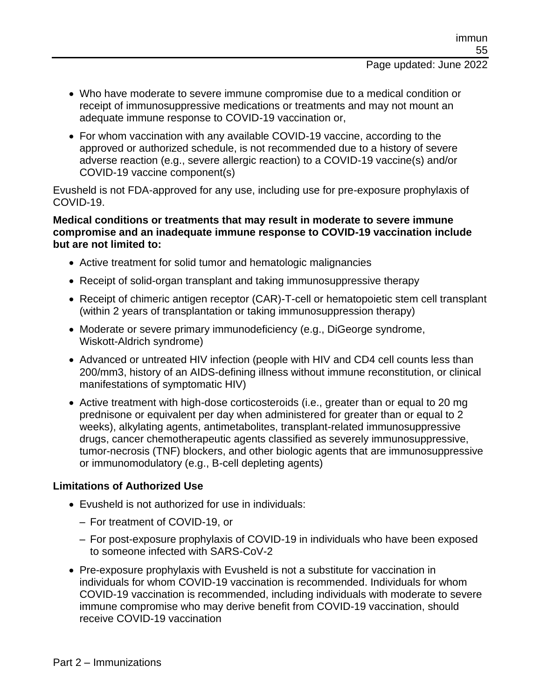- Who have moderate to severe immune compromise due to a medical condition or receipt of immunosuppressive medications or treatments and may not mount an adequate immune response to COVID-19 vaccination or,
- For whom vaccination with any available COVID-19 vaccine, according to the approved or authorized schedule, is not recommended due to a history of severe adverse reaction (e.g., severe allergic reaction) to a COVID-19 vaccine(s) and/or COVID-19 vaccine component(s)

Evusheld is not FDA-approved for any use, including use for pre-exposure prophylaxis of COVID-19.

#### **Medical conditions or treatments that may result in moderate to severe immune compromise and an inadequate immune response to COVID-19 vaccination include but are not limited to:**

- Active treatment for solid tumor and hematologic malignancies
- Receipt of solid-organ transplant and taking immunosuppressive therapy
- Receipt of chimeric antigen receptor (CAR)-T-cell or hematopoietic stem cell transplant (within 2 years of transplantation or taking immunosuppression therapy)
- Moderate or severe primary immunodeficiency (e.g., DiGeorge syndrome, Wiskott-Aldrich syndrome)
- Advanced or untreated HIV infection (people with HIV and CD4 cell counts less than 200/mm3, history of an AIDS-defining illness without immune reconstitution, or clinical manifestations of symptomatic HIV)
- Active treatment with high-dose corticosteroids (i.e., greater than or equal to 20 mg prednisone or equivalent per day when administered for greater than or equal to 2 weeks), alkylating agents, antimetabolites, transplant-related immunosuppressive drugs, cancer chemotherapeutic agents classified as severely immunosuppressive, tumor-necrosis (TNF) blockers, and other biologic agents that are immunosuppressive or immunomodulatory (e.g., B-cell depleting agents)

#### **Limitations of Authorized Use**

- Evusheld is not authorized for use in individuals:
	- For treatment of COVID-19, or
	- For post-exposure prophylaxis of COVID-19 in individuals who have been exposed to someone infected with SARS-CoV-2
- Pre-exposure prophylaxis with Evusheld is not a substitute for vaccination in individuals for whom COVID-19 vaccination is recommended. Individuals for whom COVID-19 vaccination is recommended, including individuals with moderate to severe immune compromise who may derive benefit from COVID-19 vaccination, should receive COVID-19 vaccination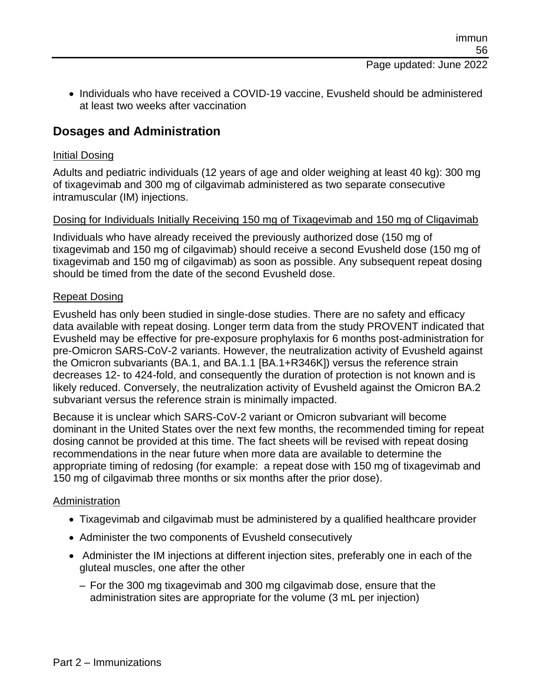• Individuals who have received a COVID-19 vaccine, Evusheld should be administered at least two weeks after vaccination

#### **Dosages and Administration**

#### Initial Dosing

Adults and pediatric individuals (12 years of age and older weighing at least 40 kg): 300 mg of tixagevimab and 300 mg of cilgavimab administered as two separate consecutive intramuscular (IM) injections.

#### Dosing for Individuals Initially Receiving 150 mg of Tixagevimab and 150 mg of Cligavimab

Individuals who have already received the previously authorized dose (150 mg of tixagevimab and 150 mg of cilgavimab) should receive a second Evusheld dose (150 mg of tixagevimab and 150 mg of cilgavimab) as soon as possible. Any subsequent repeat dosing should be timed from the date of the second Evusheld dose.

#### Repeat Dosing

Evusheld has only been studied in single-dose studies. There are no safety and efficacy data available with repeat dosing. Longer term data from the study PROVENT indicated that Evusheld may be effective for pre-exposure prophylaxis for 6 months post-administration for pre-Omicron SARS-CoV-2 variants. However, the neutralization activity of Evusheld against the Omicron subvariants (BA.1, and BA.1.1 [BA.1+R346K]) versus the reference strain decreases 12- to 424-fold, and consequently the duration of protection is not known and is likely reduced. Conversely, the neutralization activity of Evusheld against the Omicron BA.2 subvariant versus the reference strain is minimally impacted.

Because it is unclear which SARS-CoV-2 variant or Omicron subvariant will become dominant in the United States over the next few months, the recommended timing for repeat dosing cannot be provided at this time. The fact sheets will be revised with repeat dosing recommendations in the near future when more data are available to determine the appropriate timing of redosing (for example: a repeat dose with 150 mg of tixagevimab and 150 mg of cilgavimab three months or six months after the prior dose).

#### Administration

- Tixagevimab and cilgavimab must be administered by a qualified healthcare provider
- Administer the two components of Evusheld consecutively
- Administer the IM injections at different injection sites, preferably one in each of the gluteal muscles, one after the other
	- For the 300 mg tixagevimab and 300 mg cilgavimab dose, ensure that the administration sites are appropriate for the volume (3 mL per injection)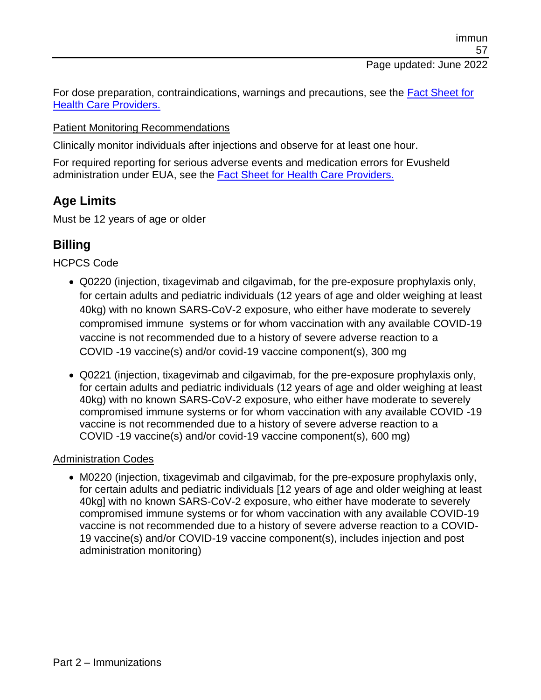For dose preparation, contraindications, warnings and precautions, see the [Fact Sheet for](https://www.fda.gov/media/154701/download)  [Health Care Providers.](https://www.fda.gov/media/154701/download)

#### Patient Monitoring Recommendations

Clinically monitor individuals after injections and observe for at least one hour.

For required reporting for serious adverse events and medication errors for Evusheld administration under EUA, see the [Fact Sheet for Health Care Providers.](https://www.fda.gov/media/154701/download)

## **Age Limits**

Must be 12 years of age or older

## **Billing**

HCPCS Code

- Q0220 (injection, tixagevimab and cilgavimab, for the pre-exposure prophylaxis only, for certain adults and pediatric individuals (12 years of age and older weighing at least 40kg) with no known SARS-CoV-2 exposure, who either have moderate to severely compromised immune systems or for whom vaccination with any available COVID-19 vaccine is not recommended due to a history of severe adverse reaction to a COVID -19 vaccine(s) and/or covid-19 vaccine component(s), 300 mg
- Q0221 (injection, tixagevimab and cilgavimab, for the pre-exposure prophylaxis only, for certain adults and pediatric individuals (12 years of age and older weighing at least 40kg) with no known SARS-CoV-2 exposure, who either have moderate to severely compromised immune systems or for whom vaccination with any available COVID -19 vaccine is not recommended due to a history of severe adverse reaction to a COVID -19 vaccine(s) and/or covid-19 vaccine component(s), 600 mg)

#### Administration Codes

• M0220 (injection, tixagevimab and cilgavimab, for the pre-exposure prophylaxis only, for certain adults and pediatric individuals [12 years of age and older weighing at least 40kg] with no known SARS-CoV-2 exposure, who either have moderate to severely compromised immune systems or for whom vaccination with any available COVID-19 vaccine is not recommended due to a history of severe adverse reaction to a COVID-19 vaccine(s) and/or COVID-19 vaccine component(s), includes injection and post administration monitoring)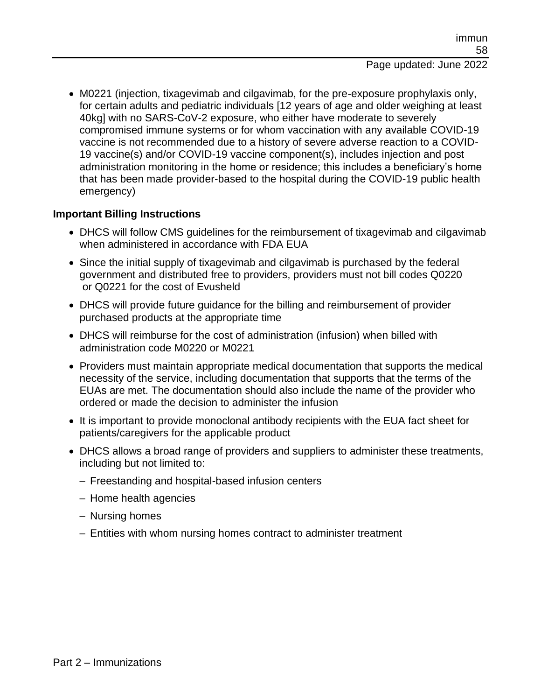• M0221 (injection, tixagevimab and cilgavimab, for the pre-exposure prophylaxis only, for certain adults and pediatric individuals [12 years of age and older weighing at least 40kg] with no SARS-CoV-2 exposure, who either have moderate to severely compromised immune systems or for whom vaccination with any available COVID-19 vaccine is not recommended due to a history of severe adverse reaction to a COVID-19 vaccine(s) and/or COVID-19 vaccine component(s), includes injection and post administration monitoring in the home or residence; this includes a beneficiary's home that has been made provider-based to the hospital during the COVID-19 public health emergency)

#### **Important Billing Instructions**

- DHCS will follow CMS guidelines for the reimbursement of tixagevimab and cilgavimab when administered in accordance with FDA EUA
- Since the initial supply of tixagevimab and cilgavimab is purchased by the federal government and distributed free to providers, providers must not bill codes Q0220 or Q0221 for the cost of Evusheld
- DHCS will provide future guidance for the billing and reimbursement of provider purchased products at the appropriate time
- DHCS will reimburse for the cost of administration (infusion) when billed with administration code M0220 or M0221
- Providers must maintain appropriate medical documentation that supports the medical necessity of the service, including documentation that supports that the terms of the EUAs are met. The documentation should also include the name of the provider who ordered or made the decision to administer the infusion
- It is important to provide monoclonal antibody recipients with the EUA fact sheet for patients/caregivers for the applicable product
- DHCS allows a broad range of providers and suppliers to administer these treatments, including but not limited to:
	- Freestanding and hospital-based infusion centers
	- Home health agencies
	- Nursing homes
	- Entities with whom nursing homes contract to administer treatment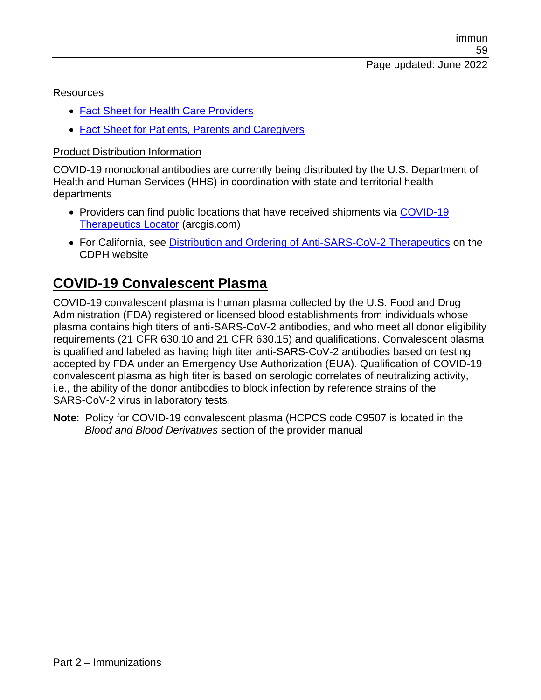#### Resources

- [Fact Sheet for Health Care Providers](https://www.fda.gov/media/154701/download)
- [Fact Sheet for Patients, Parents and Caregivers](https://www.fda.gov/media/154702/download)

#### Product Distribution Information

COVID-19 monoclonal antibodies are currently being distributed by the U.S. Department of Health and Human Services (HHS) in coordination with state and territorial health departments

- Providers can find public locations that have received shipments via COVID-19 [Therapeutics Locator](https://covid-19-therapeutics-locator-dhhs.hub.arcgis.com/) (arcgis.com)
- For California, see [Distribution and Ordering of Anti-SARS-CoV-2 Therapeutics](https://www.cdph.ca.gov/Programs/CID/DCDC/Pages/COVID-19/COVID-19-Treatments-Distribution-and-Ordering.aspx) on the CDPH website

# **COVID-19 Convalescent Plasma**

COVID-19 convalescent plasma is human plasma collected by the U.S. Food and Drug Administration (FDA) registered or licensed blood establishments from individuals whose plasma contains high titers of anti-SARS-CoV-2 antibodies, and who meet all donor eligibility requirements (21 CFR 630.10 and 21 CFR 630.15) and qualifications. Convalescent plasma is qualified and labeled as having high titer anti-SARS-CoV-2 antibodies based on testing accepted by FDA under an Emergency Use Authorization (EUA). Qualification of COVID-19 convalescent plasma as high titer is based on serologic correlates of neutralizing activity, i.e., the ability of the donor antibodies to block infection by reference strains of the SARS-CoV-2 virus in laboratory tests.

**Note**: Policy for COVID-19 convalescent plasma (HCPCS code C9507 is located in the *Blood and Blood Derivatives* section of the provider manual